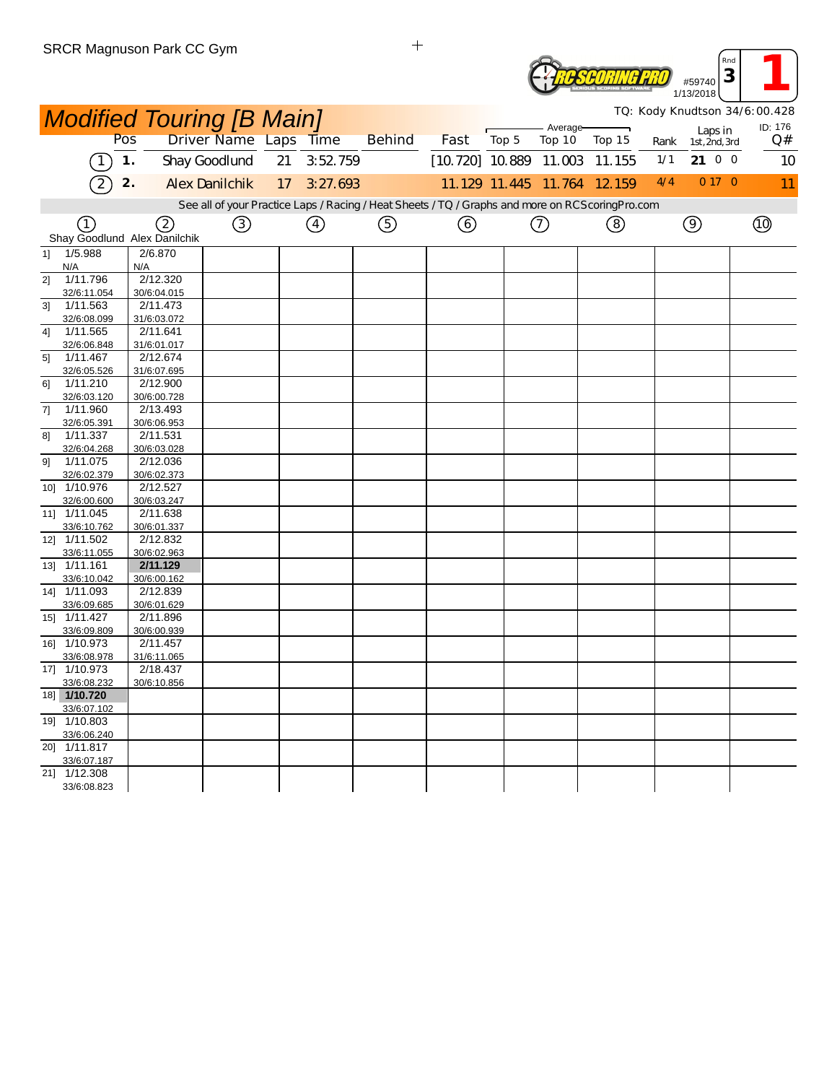|    | SRUR Magnuson Park CU Gym        |     |                         |                       |    |          |                                                                                                  |      |       |                             |        |      |                          | Rnd<br>3                      |  |
|----|----------------------------------|-----|-------------------------|-----------------------|----|----------|--------------------------------------------------------------------------------------------------|------|-------|-----------------------------|--------|------|--------------------------|-------------------------------|--|
|    |                                  |     |                         |                       |    |          |                                                                                                  |      |       |                             |        |      | #59740<br>1/13/2018      |                               |  |
|    | <b>Modified Touring [B Main]</b> |     |                         |                       |    |          |                                                                                                  |      |       |                             |        |      |                          | TQ: Kody Knudtson 34/6:00.428 |  |
|    |                                  | Pos |                         | Driver Name Laps Time |    |          | <b>Behind</b>                                                                                    | Fast | Top 5 | Average-<br>Top 10          | Top 15 | Rank | Laps in<br>1st, 2nd, 3rd | ID: 176<br>Q#                 |  |
|    |                                  | 1.  |                         | Shay Goodlund         | 21 | 3:52 759 |                                                                                                  |      |       | $[10.720]$ 10.889 11.003    | 11.155 | 1/1  | 21 0 0                   | 10                            |  |
|    | $\overline{2}$                   | 2.  |                         | <b>Alex Danilchik</b> | 17 | 3:27.693 |                                                                                                  |      |       | 11.129 11.445 11.764 12.159 |        | 4/4  | 0 17 0                   | 11                            |  |
|    |                                  |     |                         |                       |    |          | See all of your Practice Laps / Racing / Heat Sheets / TQ / Graphs and more on RCScoring Pro.com |      |       |                             |        |      |                          |                               |  |
|    | (1)                              |     | 2                       | ③                     |    | ④        | ⑤                                                                                                | (6)  |       | (7)                         | ⑧      |      | $\circledcirc$           | $\circled{1}$                 |  |
|    | Shay Goodlund Alex Danilchik     |     |                         |                       |    |          |                                                                                                  |      |       |                             |        |      |                          |                               |  |
| 1] | 1/5.988                          |     | 2/6.870                 |                       |    |          |                                                                                                  |      |       |                             |        |      |                          |                               |  |
|    | N/A                              | N/A |                         |                       |    |          |                                                                                                  |      |       |                             |        |      |                          |                               |  |
| 21 | 1/11.796                         |     | 2/12.320                |                       |    |          |                                                                                                  |      |       |                             |        |      |                          |                               |  |
|    | 32/6:11.054                      |     | 30/6:04.015             |                       |    |          |                                                                                                  |      |       |                             |        |      |                          |                               |  |
| 3] | 1/11.563                         |     | 2/11.473                |                       |    |          |                                                                                                  |      |       |                             |        |      |                          |                               |  |
|    | 32/6:08.099                      |     | 31/6:03.072             |                       |    |          |                                                                                                  |      |       |                             |        |      |                          |                               |  |
| 41 | 1/11.565                         |     | 2/11.641                |                       |    |          |                                                                                                  |      |       |                             |        |      |                          |                               |  |
| 5] | 32/6:06.848<br>1/11.467          |     | 31/6:01.017<br>2/12.674 |                       |    |          |                                                                                                  |      |       |                             |        |      |                          |                               |  |
|    | 32/6:05.526                      |     | 31/6:07.695             |                       |    |          |                                                                                                  |      |       |                             |        |      |                          |                               |  |
| 61 | 1/11.210                         |     | 2/12.900                |                       |    |          |                                                                                                  |      |       |                             |        |      |                          |                               |  |
|    | 32/6:03.120                      |     | 30/6:00.728             |                       |    |          |                                                                                                  |      |       |                             |        |      |                          |                               |  |
| 71 | 1/11.960                         |     | 2/13.493                |                       |    |          |                                                                                                  |      |       |                             |        |      |                          |                               |  |
|    | 32/6:05.391                      |     | 30/6:06.953             |                       |    |          |                                                                                                  |      |       |                             |        |      |                          |                               |  |
| 81 | 1/11.337                         |     | 2/11.531                |                       |    |          |                                                                                                  |      |       |                             |        |      |                          |                               |  |
|    | 32/6:04.268                      |     | 30/6:03.028             |                       |    |          |                                                                                                  |      |       |                             |        |      |                          |                               |  |
| 91 | 1/11.075                         |     | 2/12.036                |                       |    |          |                                                                                                  |      |       |                             |        |      |                          |                               |  |
|    | 32/6:02.379<br>10] 1/10.976      |     | 30/6:02.373<br>2/12.527 |                       |    |          |                                                                                                  |      |       |                             |        |      |                          |                               |  |
|    | 32/6:00.600                      |     | 30/6:03.247             |                       |    |          |                                                                                                  |      |       |                             |        |      |                          |                               |  |
|    | 11] 1/11.045                     |     | 2/11.638                |                       |    |          |                                                                                                  |      |       |                             |        |      |                          |                               |  |
|    | 33/6:10.762                      |     | 30/6:01.337             |                       |    |          |                                                                                                  |      |       |                             |        |      |                          |                               |  |
|    | 12] 1/11.502                     |     | 2/12.832                |                       |    |          |                                                                                                  |      |       |                             |        |      |                          |                               |  |
|    | 33/6:11.055                      |     | 30/6:02.963             |                       |    |          |                                                                                                  |      |       |                             |        |      |                          |                               |  |
|    | 13] 1/11.161                     |     | 2/11.129                |                       |    |          |                                                                                                  |      |       |                             |        |      |                          |                               |  |
|    | 33/6:10.042                      |     | 30/6:00.162             |                       |    |          |                                                                                                  |      |       |                             |        |      |                          |                               |  |
|    | 14] 1/11.093                     |     | 2/12.839                |                       |    |          |                                                                                                  |      |       |                             |        |      |                          |                               |  |
|    | 33/6:09.685<br>15] 1/11.427      |     | 30/6:01.629             |                       |    |          |                                                                                                  |      |       |                             |        |      |                          |                               |  |
|    | 33/6:09.809                      |     | 2/11.896<br>30/6:00.939 |                       |    |          |                                                                                                  |      |       |                             |        |      |                          |                               |  |
|    | 16] 1/10.973                     |     | 2/11.457                |                       |    |          |                                                                                                  |      |       |                             |        |      |                          |                               |  |
|    | 33/6:08.978                      |     | 31/6:11.065             |                       |    |          |                                                                                                  |      |       |                             |        |      |                          |                               |  |
|    | 17] 1/10.973                     |     | 2/18.437                |                       |    |          |                                                                                                  |      |       |                             |        |      |                          |                               |  |
|    | 33/6:08.232                      |     | 30/6:10.856             |                       |    |          |                                                                                                  |      |       |                             |        |      |                          |                               |  |
|    | 18 1/10.720                      |     |                         |                       |    |          |                                                                                                  |      |       |                             |        |      |                          |                               |  |
|    | 33/6:07.102                      |     |                         |                       |    |          |                                                                                                  |      |       |                             |        |      |                          |                               |  |
|    | 19] 1/10.803                     |     |                         |                       |    |          |                                                                                                  |      |       |                             |        |      |                          |                               |  |
|    | 33/6:06.240                      |     |                         |                       |    |          |                                                                                                  |      |       |                             |        |      |                          |                               |  |
|    | 20] 1/11.817<br>33/6:07.187      |     |                         |                       |    |          |                                                                                                  |      |       |                             |        |      |                          |                               |  |
|    | 21] 1/12.308                     |     |                         |                       |    |          |                                                                                                  |      |       |                             |        |      |                          |                               |  |
|    | 33/6:08.823                      |     |                         |                       |    |          |                                                                                                  |      |       |                             |        |      |                          |                               |  |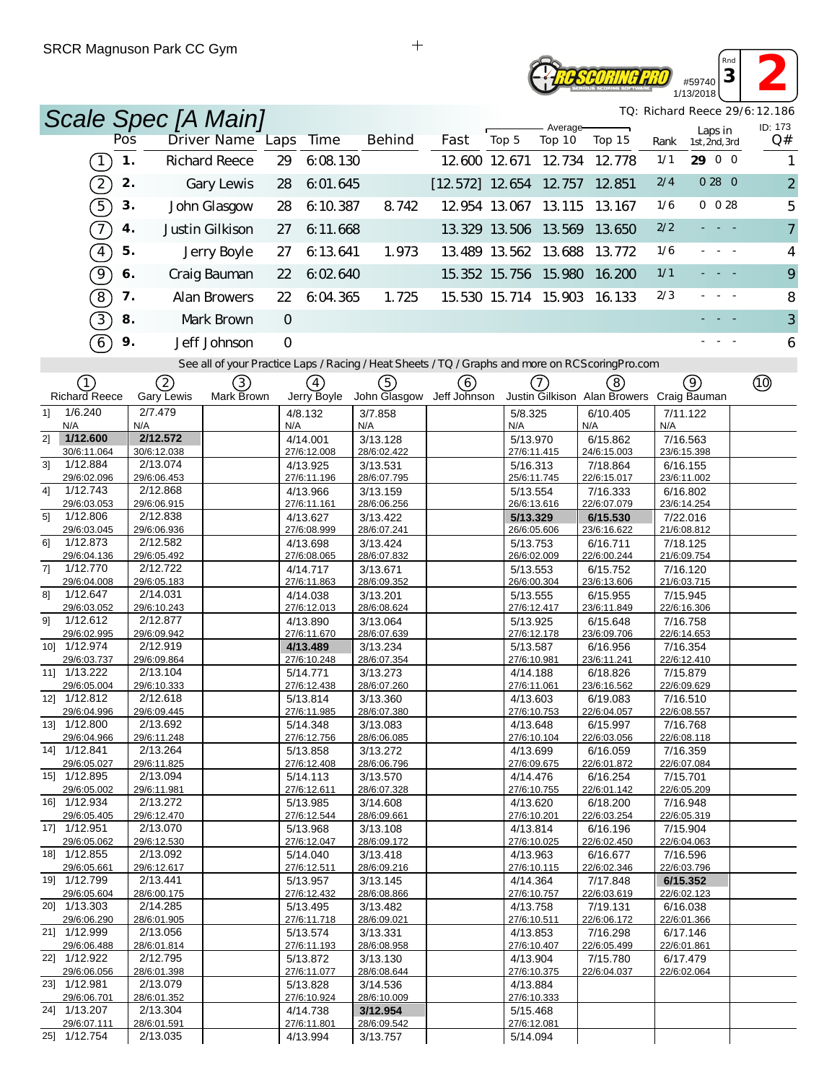## **SCORING PRO** #59740 1/13/2018

*TQ: Richard Reece 29/6:12.186*

*Rnd* **<sup>3</sup> 2**

|                                           |     | Scale Spec [A Main]     |                                                                                                   |                         |             |                         |                          |                         |                    |                                           |       |                          | TQ: Richard Reece 29/6:12.186 |
|-------------------------------------------|-----|-------------------------|---------------------------------------------------------------------------------------------------|-------------------------|-------------|-------------------------|--------------------------|-------------------------|--------------------|-------------------------------------------|-------|--------------------------|-------------------------------|
|                                           | Pos |                         | Driver Name Laps                                                                                  |                         | Time        | <b>Behind</b>           | Fast                     | Top 5                   | Average-<br>Top 10 | Top 15                                    | Rank  | Laps in<br>1st, 2nd, 3rd | ID: 173<br>Q#                 |
| $\boxed{1}$                               | 1.  |                         | <b>Richard Reece</b>                                                                              | 29                      | 6:08.130    |                         |                          | 12 600 12 671           | 12.734             | 12.778                                    | 1/1   | 29 0 0                   | 1                             |
| $\boxed{2}$                               | 2.  |                         | Gary Lewis                                                                                        | 28                      | 6:01.645    |                         | $[12.572]$ 12.654 12.757 |                         |                    | 12.851                                    | 2/4   | 0280                     | $\overline{2}$                |
| $\widehat{5}$                             | 3.  |                         |                                                                                                   |                         |             |                         |                          | 12.954 13.067 13.115    |                    |                                           | 1/6   | $0 \t028$                |                               |
|                                           |     |                         | John Glasgow                                                                                      | 28                      | 6:10.387    | 8.742                   |                          |                         |                    | 13.167                                    |       |                          | 5                             |
| $\widehat{\mathcal{T}}$                   | 4.  |                         | Justin Gilkison                                                                                   | 27                      | 6:11.668    |                         |                          | 13.329 13.506 13.569    |                    | 13.650                                    | 2/2   | $\sim 10^{-1}$ m $^{-1}$ | $\overline{7}$                |
| $\boxed{4}$                               | 5.  |                         | Jerry Boyle                                                                                       | 27                      | 6:13.641    | 1.973                   |                          | 13.489 13.562 13.688    |                    | 13.772                                    | 1/6   | $\overline{\phantom{a}}$ | 4                             |
| <u>्</u>                                  | 6.  |                         | Craig Bauman                                                                                      | 22                      | 6:02.640    |                         |                          | 15.352 15.756 15.980    |                    | 16.200                                    | $1/1$ |                          | 9                             |
| $\boxed{8}$                               | 7.  |                         | Alan Browers                                                                                      | 22                      | 6:04.365    | 1.725                   |                          | 15.530 15.714 15.903    |                    | 16.133                                    | 2/3   |                          | 8                             |
| $\boxed{3}$                               | 8.  |                         | Mark Brown                                                                                        | $\circ$                 |             |                         |                          |                         |                    |                                           |       | - - -                    | 3                             |
| 6                                         | 9.  |                         | Jeff Johnson                                                                                      | O                       |             |                         |                          |                         |                    |                                           |       |                          | 6                             |
|                                           |     |                         | See all of your Practice Laps / Racing / Heat Sheets / TQ / Graphs and more on RCS coring Pro.com |                         |             |                         |                          |                         |                    |                                           |       |                          |                               |
| (1)                                       |     | (2)                     | (3)                                                                                               |                         | (4)         | (5)                     | (6)                      |                         | $\left(7\right)$   | (8)                                       |       | 9)                       | $^{\circledR}$                |
| <b>Richard Reece</b>                      |     | Gary Lewis              | Mark Brown                                                                                        |                         | Jerry Boyle | John Glasgow            | Jeff Johnson             |                         |                    | Justin Gilkison Alan Browers Craig Bauman |       |                          |                               |
| 1/6.240<br>11<br>N/A                      |     | 2/7.479<br>N/A          |                                                                                                   | 4/8.132<br>N/A          |             | 3/7.858<br>N/A          |                          | 5/8.325<br>N/A          |                    | 6/10.405<br>N/A                           | N/A   | 7/11.122                 |                               |
| 1/12.600<br>21                            |     | 2/12.572                |                                                                                                   | 4/14.001                |             | 3/13.128                |                          | 5/13.970<br>27/6:11.415 |                    | 6/15.862                                  |       | 7/16.563                 |                               |
| 30/6:11.064<br>1/12.884<br>31             |     | 30/6:12.038<br>2/13.074 |                                                                                                   | 27/6:12.008<br>4/13.925 |             | 28/6:02.422<br>3/13.531 |                          | 5/16.313                |                    | 24/6:15.003<br>7/18.864                   |       | 23/6:15.398<br>6/16.155  |                               |
| 29/6:02.096<br>1/12.743<br>41             |     | 29/6:06.453<br>2/12.868 |                                                                                                   | 27/6:11.196<br>4/13.966 |             | 28/6:07.795<br>3/13.159 |                          | 25/6:11.745<br>5/13.554 |                    | 22/6:15.017<br>7/16.333                   |       | 23/6:11.002<br>6/16.802  |                               |
| 29/6:03.053                               |     | 29/6:06.915             |                                                                                                   | 27/6:11.161             |             | 28/6:06.256             |                          | 26/6:13.616             |                    | 22/6:07.079                               |       | 23/6:14.254              |                               |
| 1/12.806<br>5 <sup>1</sup><br>29/6:03.045 |     | 2/12.838<br>29/6:06.936 |                                                                                                   | 4/13.627<br>27/6:08.999 |             | 3/13.422<br>28/6:07.241 |                          | 5/13.329<br>26/6:05.606 |                    | 6/15.530<br>23/6:16.622                   |       | 7/22.016<br>21/6:08.812  |                               |
| 1/12.873<br>61                            |     | 2/12.582                |                                                                                                   | 4/13.698                |             | 3/13.424                |                          | 5/13.753                |                    | 6/16.711                                  |       | 7/18.125                 |                               |
| 29/6:04.136<br>71<br>1/12.770             |     | 29/6:05.492<br>2/12.722 |                                                                                                   | 27/6:08.065<br>4/14.717 |             | 28/6:07.832<br>3/13.671 |                          | 26/6:02.009<br>5/13.553 |                    | 22/6:00.244<br>6/15.752                   |       | 21/6:09.754<br>7/16.120  |                               |
| 29/6:04.008                               |     | 29/6:05.183             |                                                                                                   | 27/6:11.863             |             | 28/6:09.352             |                          | 26/6:00.304             |                    | 23/6:13.606                               |       | 21/6:03.715              |                               |
| 81<br>1/12.647<br>29/6:03.052             |     | 2/14.031<br>29/6:10.243 |                                                                                                   | 4/14.038<br>27/6:12.013 |             | 3/13.201<br>28/6:08.624 |                          | 5/13.555<br>27/6:12.417 |                    | 6/15.955<br>23/6:11.849                   |       | 7/15.945<br>22/6:16.306  |                               |
| 1/12.612<br>91                            |     | 2/12.877                |                                                                                                   | 4/13.890                |             | 3/13.064                |                          | 5/13.925                |                    | 6/15.648                                  |       | 7/16.758                 |                               |
| 29/6:02.995<br>10] 1/12.974               |     | 29/6:09.942<br>2/12.919 |                                                                                                   | 27/6:11.670<br>4/13.489 |             | 28/6:07.639<br>3/13.234 |                          | 27/6:12.178<br>5/13.587 |                    | 23/6:09.706<br>6/16.956                   |       | 22/6:14.653<br>7/16.354  |                               |
| 29/6:03.737                               |     | 29/6:09.864             |                                                                                                   | 27/6:10.248             |             | 28/6:07.354             |                          | 27/6:10.981             |                    | 23/6:11.241                               |       | 22/6:12.410              |                               |
| 11] 1/13.222<br>29/6:05.004               |     | 2/13.104<br>29/6:10.333 |                                                                                                   | 5/14.771<br>27/6:12.438 |             | 3/13.273<br>28/6:07.260 |                          | 4/14.188<br>27/6:11.061 |                    | 6/18.826<br>23/6:16.562                   |       | 7/15.879<br>22/6:09.629  |                               |
| 12] 1/12.812                              |     | 2/12.618                |                                                                                                   | 5/13.814                |             | 3/13.360                |                          | 4/13.603                |                    | 6/19.083                                  |       | 7/16.510                 |                               |
| 29/6:04.996<br>13] 1/12.800               |     | 29/6:09.445<br>2/13.692 |                                                                                                   | 27/6:11.985<br>5/14.348 |             | 28/6:07.380<br>3/13.083 |                          | 27/6:10.753<br>4/13.648 |                    | 22/6:04.057<br>6/15.997                   |       | 22/6:08.557<br>7/16.768  |                               |
| 29/6:04.966                               |     | 29/6:11.248             |                                                                                                   | 27/6:12.756             |             | 28/6:06.085             |                          | 27/6:10.104             |                    | 22/6:03.056                               |       | 22/6:08.118              |                               |
| 14] 1/12.841<br>29/6:05.027               |     | 2/13.264<br>29/6:11.825 |                                                                                                   | 5/13.858<br>27/6:12.408 |             | 3/13.272<br>28/6:06.796 |                          | 4/13.699<br>27/6:09.675 |                    | 6/16.059<br>22/6:01.872                   |       | 7/16.359<br>22/6:07.084  |                               |
| 15] 1/12.895<br>29/6:05.002               |     | 2/13.094                |                                                                                                   | 5/14.113                |             | 3/13.570                |                          | 4/14.476                |                    | 6/16.254                                  |       | 7/15.701                 |                               |
| 16] 1/12.934                              |     | 29/6:11.981<br>2/13.272 |                                                                                                   | 27/6:12.611<br>5/13.985 |             | 28/6:07.328<br>3/14.608 |                          | 27/6:10.755<br>4/13.620 |                    | 22/6:01.142<br>6/18.200                   |       | 22/6:05.209<br>7/16.948  |                               |
| 29/6:05.405<br>17] 1/12.951               |     | 29/6:12.470<br>2/13.070 |                                                                                                   | 27/6:12.544<br>5/13.968 |             | 28/6:09.661<br>3/13.108 |                          | 27/6:10.201<br>4/13.814 |                    | 22/6:03.254<br>6/16.196                   |       | 22/6:05.319<br>7/15.904  |                               |
| 29/6:05.062                               |     | 29/6:12.530             |                                                                                                   | 27/6:12.047             |             | 28/6:09.172             |                          | 27/6:10.025             |                    | 22/6:02.450                               |       | 22/6:04.063              |                               |
| 18 1/12.855<br>29/6:05.661                |     | 2/13.092<br>29/6:12.617 |                                                                                                   | 5/14.040<br>27/6:12.511 |             | 3/13.418<br>28/6:09.216 |                          | 4/13.963<br>27/6:10.115 |                    | 6/16.677<br>22/6:02.346                   |       | 7/16.596<br>22/6:03.796  |                               |
| 19] 1/12.799                              |     | 2/13.441                |                                                                                                   | 5/13.957                |             | 3/13.145                |                          | 4/14.364                |                    | 7/17.848                                  |       | 6/15.352                 |                               |
| 29/6:05.604<br>20] 1/13.303               |     | 28/6:00.175<br>2/14.285 |                                                                                                   | 27/6:12.432<br>5/13.495 |             | 28/6:08.866<br>3/13.482 |                          | 27/6:10.757<br>4/13.758 |                    | 22/6:03.619<br>7/19.131                   |       | 22/6:02.123<br>6/16.038  |                               |
| 29/6:06.290                               |     | 28/6:01.905             |                                                                                                   | 27/6:11.718             |             | 28/6:09.021             |                          | 27/6:10.511             |                    | 22/6:06.172                               |       | 22/6:01.366              |                               |
| 21] 1/12.999<br>29/6:06.488               |     | 2/13.056<br>28/6:01.814 |                                                                                                   | 5/13.574<br>27/6:11.193 |             | 3/13.331<br>28/6:08.958 |                          | 4/13.853<br>27/6:10.407 |                    | 7/16.298<br>22/6:05.499                   |       | 6/17.146<br>22/6:01.861  |                               |
| 22] 1/12.922                              |     | 2/12.795                |                                                                                                   | 5/13.872                |             | 3/13.130                |                          | 4/13.904                |                    | 7/15.780                                  |       | 6/17.479                 |                               |
| 29/6:06.056<br>23] 1/12.981               |     | 28/6:01.398<br>2/13.079 |                                                                                                   | 27/6:11.077<br>5/13.828 |             | 28/6:08.644<br>3/14.536 |                          | 27/6:10.375<br>4/13.884 |                    | 22/6:04.037                               |       | 22/6:02.064              |                               |
| 29/6:06.701                               |     | 28/6:01.352             |                                                                                                   | 27/6:10.924             |             | 28/6:10.009             |                          | 27/6:10.333             |                    |                                           |       |                          |                               |
| 24] 1/13.207<br>29/6:07.111               |     | 2/13.304<br>28/6:01.591 |                                                                                                   | 4/14.738<br>27/6:11.801 |             | 3/12.954<br>28/6:09.542 |                          | 5/15.468<br>27/6:12.081 |                    |                                           |       |                          |                               |
| 25] 1/12.754                              |     | 2/13.035                |                                                                                                   | 4/13.994                |             | 3/13.757                |                          | 5/14.094                |                    |                                           |       |                          |                               |

 $\ddot{+}$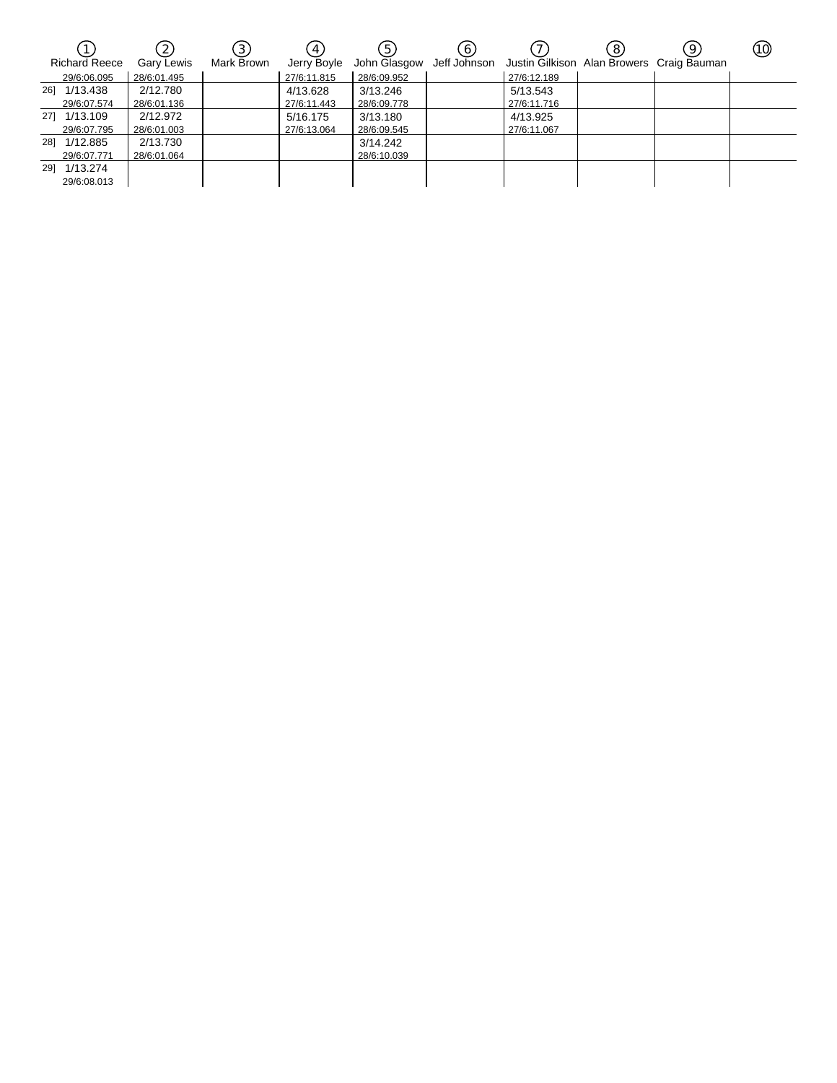| <b>Richard Reece</b> | $\left(2\right)$<br>Gary Lewis | $\left[3\right]$<br>Mark Brown | 4<br>Jerry Boyle | $\overline{5}$ | $\mathbf{6}$ | John Glasgow Jeff Johnson Justin Gilkison Alan Browers Craig Bauman | 8 | 9 | (10) |
|----------------------|--------------------------------|--------------------------------|------------------|----------------|--------------|---------------------------------------------------------------------|---|---|------|
| 29/6:06.095          | 28/6:01.495                    |                                | 27/6:11.815      | 28/6:09.952    |              | 27/6:12.189                                                         |   |   |      |
| 26] 1/13.438         | 2/12.780                       |                                | 4/13.628         | 3/13.246       |              | 5/13.543                                                            |   |   |      |
| 29/6:07.574          | 28/6:01.136                    |                                | 27/6:11.443      | 28/6:09.778    |              | 27/6:11.716                                                         |   |   |      |
| 27] 1/13.109         | 2/12.972                       |                                | 5/16.175         | 3/13.180       |              | 4/13.925                                                            |   |   |      |
| 29/6:07.795          | 28/6:01.003                    |                                | 27/6:13.064      | 28/6:09.545    |              | 27/6:11.067                                                         |   |   |      |
| 28] 1/12.885         | 2/13.730                       |                                |                  | 3/14.242       |              |                                                                     |   |   |      |
| 29/6:07.771          | 28/6:01.064                    |                                |                  | 28/6:10.039    |              |                                                                     |   |   |      |
| 29] 1/13.274         |                                |                                |                  |                |              |                                                                     |   |   |      |
| 29/6:08.013          |                                |                                |                  |                |              |                                                                     |   |   |      |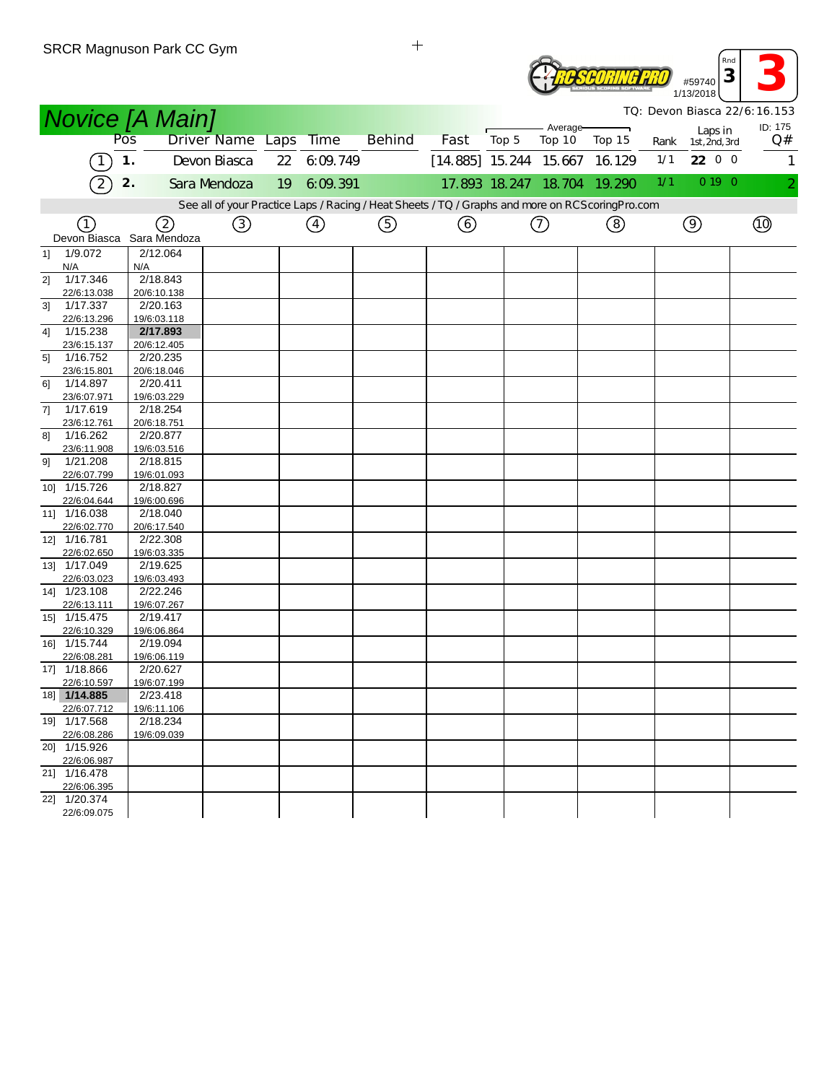|    |                             | SRUR Magnuson Park CU Gym |                  |    |               |                                                                                                  |                          |       |                             |        |      | Rnd                      |                              |
|----|-----------------------------|---------------------------|------------------|----|---------------|--------------------------------------------------------------------------------------------------|--------------------------|-------|-----------------------------|--------|------|--------------------------|------------------------------|
|    |                             |                           |                  |    |               |                                                                                                  |                          |       |                             |        |      | 3<br>#59740<br>1/13/2018 |                              |
|    |                             | <b>Novice [A Main]</b>    |                  |    |               |                                                                                                  |                          |       |                             |        |      |                          | TQ: Devon Biasca 22/6:16.153 |
|    |                             | Pos                       | Driver Name Laps |    | <b>Time</b>   | <b>Behind</b>                                                                                    | Fast                     | Top 5 | Average-<br>Top 10          | Top 15 | Rank | Laps in<br>1st, 2nd, 3rd | ID: 175<br>Q#                |
|    |                             | 1.                        | Devon Biasca     |    | 22 6:09.749   |                                                                                                  | $[14.885]$ 15.244 15.667 |       |                             | 16.129 | 1/1  | 22 0 0                   | $\mathbf{1}$                 |
|    | $\overline{2}$              | 2.                        | Sara Mendoza     | 19 | 6:09:391      |                                                                                                  |                          |       | 17.893 18.247 18.704 19.290 |        | 1/1  | 0 19 0                   |                              |
|    |                             |                           |                  |    |               | See all of your Practice Laps / Racing / Heat Sheets / TQ / Graphs and more on RCScoring Pro.com |                          |       |                             |        |      |                          |                              |
|    | (1)                         |                           | ③                |    | $\circled{4}$ | ⑤                                                                                                |                          |       | $\circled{1}$               | ②      |      | $\circledcirc$           | (10)                         |
|    | Devon Biasca                | (2)<br>Sara Mendoza       |                  |    |               |                                                                                                  | ⊙                        |       |                             |        |      |                          |                              |
| 1] | 1/9.072                     | 2/12.064                  |                  |    |               |                                                                                                  |                          |       |                             |        |      |                          |                              |
|    | N/A                         | N/A                       |                  |    |               |                                                                                                  |                          |       |                             |        |      |                          |                              |
| 21 | 1/17.346<br>22/6:13.038     | 2/18.843<br>20/6:10.138   |                  |    |               |                                                                                                  |                          |       |                             |        |      |                          |                              |
| 3] | 1/17.337                    | 2/20.163                  |                  |    |               |                                                                                                  |                          |       |                             |        |      |                          |                              |
|    | 22/6:13.296                 | 19/6:03.118               |                  |    |               |                                                                                                  |                          |       |                             |        |      |                          |                              |
| 41 | 1/15.238                    | 2/17.893                  |                  |    |               |                                                                                                  |                          |       |                             |        |      |                          |                              |
|    | 23/6:15.137                 | 20/6:12.405               |                  |    |               |                                                                                                  |                          |       |                             |        |      |                          |                              |
| 5] | 1/16.752<br>23/6:15.801     | 2/20.235<br>20/6:18.046   |                  |    |               |                                                                                                  |                          |       |                             |        |      |                          |                              |
| 61 | 1/14.897                    | 2/20.411                  |                  |    |               |                                                                                                  |                          |       |                             |        |      |                          |                              |
|    | 23/6:07.971                 | 19/6:03.229               |                  |    |               |                                                                                                  |                          |       |                             |        |      |                          |                              |
| 7] | 1/17.619                    | 2/18.254                  |                  |    |               |                                                                                                  |                          |       |                             |        |      |                          |                              |
|    | 23/6:12.761                 | 20/6:18.751               |                  |    |               |                                                                                                  |                          |       |                             |        |      |                          |                              |
| 81 | 1/16.262<br>23/6:11.908     | 2/20.877<br>19/6:03.516   |                  |    |               |                                                                                                  |                          |       |                             |        |      |                          |                              |
| 91 | 1/21.208                    | 2/18.815                  |                  |    |               |                                                                                                  |                          |       |                             |        |      |                          |                              |
|    | 22/6:07.799                 | 19/6:01.093               |                  |    |               |                                                                                                  |                          |       |                             |        |      |                          |                              |
|    | 10] 1/15.726                | 2/18.827                  |                  |    |               |                                                                                                  |                          |       |                             |        |      |                          |                              |
|    | 22/6:04.644                 | 19/6:00.696               |                  |    |               |                                                                                                  |                          |       |                             |        |      |                          |                              |
|    | 11] 1/16.038                | 2/18.040                  |                  |    |               |                                                                                                  |                          |       |                             |        |      |                          |                              |
|    | 22/6:02.770<br>12] 1/16.781 | 20/6:17.540<br>2/22.308   |                  |    |               |                                                                                                  |                          |       |                             |        |      |                          |                              |
|    | 22/6:02.650                 | 19/6:03.335               |                  |    |               |                                                                                                  |                          |       |                             |        |      |                          |                              |
|    | 13] 1/17.049                | 2/19.625                  |                  |    |               |                                                                                                  |                          |       |                             |        |      |                          |                              |
|    | 22/6:03.023                 | 19/6:03.493               |                  |    |               |                                                                                                  |                          |       |                             |        |      |                          |                              |
|    | 14] 1/23.108                | 2/22.246                  |                  |    |               |                                                                                                  |                          |       |                             |        |      |                          |                              |
|    | 22/6:13.111<br>15] 1/15.475 | 19/6:07.267<br>2/19.417   |                  |    |               |                                                                                                  |                          |       |                             |        |      |                          |                              |
|    | 22/6:10.329                 | 19/6:06.864               |                  |    |               |                                                                                                  |                          |       |                             |        |      |                          |                              |
|    | 16] 1/15.744                | 2/19.094                  |                  |    |               |                                                                                                  |                          |       |                             |        |      |                          |                              |
|    | 22/6:08.281                 | 19/6:06.119               |                  |    |               |                                                                                                  |                          |       |                             |        |      |                          |                              |
|    | 17] 1/18.866                | 2/20.627                  |                  |    |               |                                                                                                  |                          |       |                             |        |      |                          |                              |
|    | 22/6:10.597<br>18] 1/14.885 | 19/6:07.199<br>2/23.418   |                  |    |               |                                                                                                  |                          |       |                             |        |      |                          |                              |
|    | 22/6:07.712                 | 19/6:11.106               |                  |    |               |                                                                                                  |                          |       |                             |        |      |                          |                              |
|    | 19] 1/17.568                | 2/18.234                  |                  |    |               |                                                                                                  |                          |       |                             |        |      |                          |                              |
|    | 22/6:08.286                 | 19/6:09.039               |                  |    |               |                                                                                                  |                          |       |                             |        |      |                          |                              |
|    | 20] 1/15.926                |                           |                  |    |               |                                                                                                  |                          |       |                             |        |      |                          |                              |
|    | 22/6:06.987<br>21] 1/16.478 |                           |                  |    |               |                                                                                                  |                          |       |                             |        |      |                          |                              |
|    | 22/6:06.395                 |                           |                  |    |               |                                                                                                  |                          |       |                             |        |      |                          |                              |
|    | $\overline{22}$ 1/20.374    |                           |                  |    |               |                                                                                                  |                          |       |                             |        |      |                          |                              |
|    | 22/6:09.075                 |                           |                  |    |               |                                                                                                  |                          |       |                             |        |      |                          |                              |

 $\pm$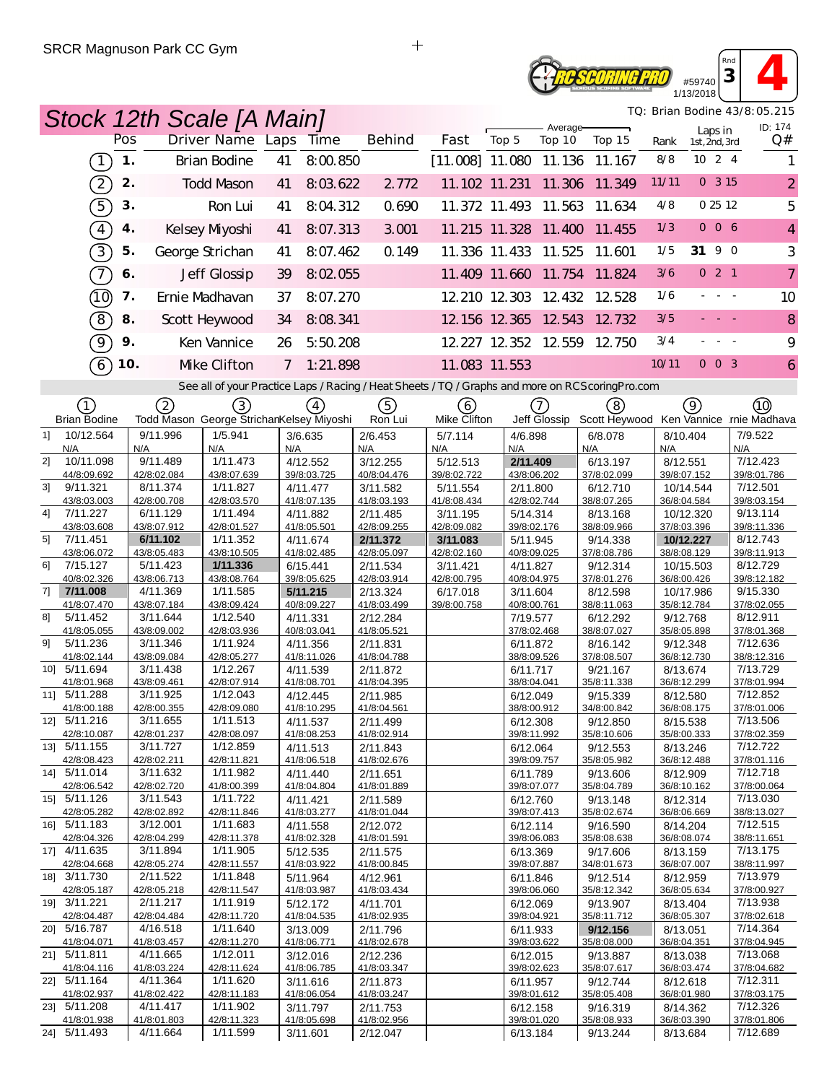### *PSCORING PRO* #59740 1/13/2018

*TQ: Brian Bodine 43/8:05.215*

*Rnd*  $\begin{array}{|c|c|c|}\n\hline\n3 & 4\n\end{array}$ 

|                               |     | Stock 12th Scale [A Main]                                                                         |                |                         |                         |                          |                         |                      |                                        |       |                          |                     | TQ: Brian Bodine 43/8:05.215 |
|-------------------------------|-----|---------------------------------------------------------------------------------------------------|----------------|-------------------------|-------------------------|--------------------------|-------------------------|----------------------|----------------------------------------|-------|--------------------------|---------------------|------------------------------|
|                               | Pos | Driver Name Laps Time                                                                             |                |                         | <b>Behind</b>           | Fast                     | Top 5                   | Average-<br>Top 10   | Top 15                                 | Rank  | Laps in<br>1st, 2nd, 3rd |                     | ID: 174<br>Q#                |
| $\overline{1}$                | 1.  | Brian Bodine                                                                                      | 41             | 8:00.850                |                         | $[11.008]$ 11.080 11.136 |                         |                      | 11.167                                 | 8/8   | 10 2 4                   |                     |                              |
| $\boxed{2}$                   | 2.  | <b>Todd Mason</b>                                                                                 | 41             | 8:03.622                | 2.772                   |                          |                         |                      | 11.102 11.231 11.306 11.349            | 11/11 | 0.315                    |                     | $\overline{2}$               |
| $\widehat{5}$                 | 3.  | Ron Lui                                                                                           | 41             | 8:04.312                | 0.690                   |                          |                         | 11.372 11.493 11.563 | 11.634                                 | 4/8   | 0 25 12                  |                     | 5                            |
| $\boxed{4}$                   | 4.  | Kelsey Myoshi                                                                                     | 41             | 8:07.313                | 3.001                   |                          |                         | 11.215 11.328 11.400 | 11.455                                 | 1/3   | 006                      |                     | $\overline{4}$               |
| $\boxed{3}$                   | 5.  | George Strichan                                                                                   | 41             | 8:07.462                | 0.149                   |                          |                         | 11.336 11.433 11.525 | 11.601                                 | 1/5   | 31 9 0                   |                     | 3                            |
| $\overline{7}$                | 6.  | Jeff Glossip                                                                                      | 39             | 8:02.055                |                         |                          |                         |                      | 11.409 11.660 11.754 11.824            | 3/6   | 021                      |                     | 7                            |
| (10)                          | 7.  | Ernie Madhavan                                                                                    | 37             | 8:07.270                |                         |                          |                         |                      | 12 210 12 303 12 432 12 528            | 1/6   |                          | $\sim 100$          | 10                           |
| $\sqrt{8}$                    | 8.  | Scott Heywood                                                                                     | 34             | 8:08.341                |                         |                          |                         |                      | 12.156 12.365 12.543 12.732            | 3/5   |                          |                     | 8                            |
| ଚ୍                            | 9.  | Ken Vannice                                                                                       | 26             | 5:50.208                |                         |                          |                         | 12.227 12.352 12.559 | 12.750                                 | 3/4   |                          | $\omega_{\rm{max}}$ | 9                            |
| 6                             | 10. | Mke Clifton                                                                                       | $\overline{7}$ | 1:21.898                |                         |                          | 11.083 11.553           |                      |                                        | 10/11 | $0\quad0\quad3$          |                     | 6                            |
|                               |     | See all of your Practice Laps / Racing / Heat Sheets / TQ / Graphs and more on RCS coring Pro.com |                |                         |                         |                          |                         |                      |                                        |       |                          |                     |                              |
| (1)                           |     | (2)<br>(3)                                                                                        |                | (4)                     | (5)                     | (6)                      |                         | (7)                  | (8)                                    |       | 9)                       |                     | (10)                         |
| <b>Brian Bodine</b>           |     | Todd Mason George StrichanKelsey Miyoshi                                                          |                |                         | Ron Lui                 | Mike Clifton             |                         | Jeff Glossip         | Scott Heywood Ken Vannice rnie Madhava |       |                          |                     |                              |
| 10/12.564<br>11<br>N/A        | N/A | 9/11.996<br>1/5.941<br>N/A                                                                        | N/A            | 3/6.635                 | 2/6.453<br>N/A          | 5/7.114<br>N/A           | 4/6.898<br>N/A          |                      | 6/8.078<br>N/A                         | N/A   | 8/10.404                 | N/A                 | 7/9.522                      |
| 10/11.098<br>21               |     | 9/11.489<br>1/11.473                                                                              |                | 4/12.552                | 3/12.255                | 5/12.513                 | 2/11.409                |                      | 6/13.197                               |       | 8/12.551                 |                     | 7/12.423                     |
| 44/8:09.692<br>31<br>9/11.321 |     | 42/8:02.084<br>43/8:07.639<br>8/11.374<br>1/11.827                                                |                | 39/8:03.725<br>4/11.477 | 40/8:04.476<br>3/11.582 | 39/8:02.722<br>5/11.554  | 43/8:06.202<br>2/11.800 |                      | 37/8:02.099<br>6/12.710                |       | 39/8:07.152<br>10/14.544 |                     | 39/8:01.786<br>7/12.501      |
| 43/8:03.003                   |     | 42/8:00.708<br>42/8:03.570                                                                        |                | 41/8:07.135             | 41/8:03.193             | 41/8:08.434              | 42/8:02.744             |                      | 38/8:07.265                            |       | 36/8:04.584              |                     | 39/8:03.154                  |
| 7/11.227<br>41<br>43/8:03.608 |     | 6/11.129<br>1/11.494<br>43/8:07.912<br>42/8:01.527                                                |                | 4/11.882<br>41/8:05.501 | 2/11.485<br>42/8:09.255 | 3/11.195<br>42/8:09.082  | 5/14.314<br>39/8:02.176 |                      | 8/13.168<br>38/8:09.966                |       | 10/12.320<br>37/8:03.396 |                     | 9/13.114<br>39/8:11.336      |
| 5 <sup>1</sup><br>7/11.451    |     | 6/11.102<br>1/11.352                                                                              |                | 4/11.674                | 2/11.372                | 3/11.083                 | 5/11.945                |                      | 9/14.338                               |       | 10/12.227                |                     | 8/12.743                     |
| 43/8:06.072                   |     | 43/8:05.483<br>43/8:10.505                                                                        |                | 41/8:02.485             | 42/8:05.097             | 42/8:02.160              | 40/8:09.025             |                      | 37/8:08.786                            |       | 38/8:08.129              |                     | 39/8:11.913                  |
| 6<br>7/15.127<br>40/8:02.326  |     | 5/11.423<br>1/11.336<br>43/8:06.713<br>43/8:08.764                                                |                | 6/15.441<br>39/8:05.625 | 2/11.534<br>42/8:03.914 | 3/11.421<br>42/8:00.795  | 4/11.827<br>40/8:04.975 |                      | 9/12.314<br>37/8:01.276                |       | 10/15.503<br>36/8:00.426 |                     | 8/12.729<br>39/8:12.182      |
| 71<br>7/11.008                |     | 4/11.369<br>1/11.585                                                                              |                | 5/11.215                | 2/13.324                | 6/17.018                 | 3/11.604                |                      | 8/12.598                               |       | 10/17.986                |                     | 9/15.330                     |
| 41/8:07.470<br>8]<br>5/11.452 |     | 43/8:07.184<br>43/8:09.424<br>1/12.540<br>3/11.644                                                |                | 40/8:09.227             | 41/8:03.499             | 39/8:00.758              | 40/8:00.761             |                      | 38/8:11.063                            |       | 35/8:12.784              |                     | 37/8:02.055<br>8/12.911      |
| 41/8:05.055                   |     | 43/8:09.002<br>42/8:03.936                                                                        |                | 4/11.331<br>40/8:03.041 | 2/12.284<br>41/8:05.521 |                          | 7/19.577<br>37/8:02.468 |                      | 6/12.292<br>38/8:07.027                |       | 9/12.768<br>35/8:05.898  |                     | 37/8:01.368                  |
| 91<br>5/11.236                |     | 3/11.346<br>1/11.924                                                                              |                | 4/11.356                | 2/11.831                |                          | 6/11.872                |                      | 8/16.142                               |       | 9/12.348                 |                     | 7/12.636                     |
| 41/8:02.144<br>10] 5/11.694   |     | 43/8:09.084<br>42/8:05.277<br>3/11.438<br>1/12.267                                                |                | 41/8:11.026<br>4/11.539 | 41/8:04.788<br>2/11.872 |                          | 38/8:09.526<br>6/11.717 |                      | 37/8:08.507<br>9/21.167                |       | 36/8:12.730<br>8/13.674  |                     | 38/8:12.316<br>7/13.729      |
| 41/8:01.968                   |     | 43/8:09.461<br>42/8:07.914                                                                        |                | 41/8:08.701             | 41/8:04.395             |                          | 38/8:04.041             |                      | 35/8:11.338                            |       | 36/8:12.299              |                     | 37/8:01.994                  |
| 11] 5/11.288<br>41/8:00.188   |     | 1/12.043<br>3/11.925<br>42/8:00.355<br>42/8:09.080                                                |                | 4/12.445<br>41/8:10.295 | 2/11.985<br>41/8:04.561 |                          | 6/12.049<br>38/8:00.912 |                      | 9/15.339<br>34/8:00.842                |       | 8/12.580<br>36/8:08.175  |                     | 7/12.852<br>37/8:01.006      |
| 12] 5/11.216                  |     | 3/11.655<br>1/11.513                                                                              |                | 4/11.537                | 2/11.499                |                          | 6/12.308                |                      | 9/12.850                               |       | 8/15.538                 |                     | 7/13.506                     |
| 42/8:10.087                   |     | 42/8:01.237<br>42/8:08.097                                                                        |                | 41/8:08.253             | 41/8:02.914             |                          | 39/8:11.992             |                      | 35/8:10.606                            |       | 35/8:00.333              |                     | 37/8:02.359                  |
| 13] 5/11.155<br>42/8:08.423   |     | 3/11.727<br>1/12.859<br>42/8:02.211<br>42/8:11.821                                                |                | 4/11.513<br>41/8:06.518 | 2/11.843<br>41/8:02.676 |                          | 6/12.064<br>39/8:09.757 |                      | 9/12.553<br>35/8:05.982                |       | 8/13.246<br>36/8:12.488  |                     | 7/12.722<br>37/8:01.116      |
| 14] 5/11.014                  |     | 1/11.982<br>3/11.632                                                                              |                | 4/11.440                | 2/11.651                |                          | 6/11.789                |                      | 9/13.606                               |       | 8/12.909                 |                     | 7/12.718                     |
| 42/8:06.542<br>15] 5/11.126   |     | 42/8:02.720<br>41/8:00.399<br>3/11.543<br>1/11.722                                                |                | 41/8:04.804<br>4/11.421 | 41/8:01.889<br>2/11.589 |                          | 39/8:07.077<br>6/12.760 |                      | 35/8:04.789<br>9/13.148                |       | 36/8:10.162<br>8/12.314  |                     | 37/8:00.064<br>7/13.030      |
| 42/8:05.282                   |     | 42/8:02.892<br>42/8:11.846                                                                        |                | 41/8:03.277             | 41/8:01.044             |                          | 39/8:07.413             |                      | 35/8:02.674                            |       | 36/8:06.669              |                     | 38/8:13.027                  |
| 16] 5/11.183                  |     | 3/12.001<br>1/11.683                                                                              |                | 4/11.558                | 2/12.072                |                          | 6/12.114                |                      | 9/16.590<br>35/8:08.638                |       | 8/14.204                 |                     | 7/12.515                     |
| 42/8:04.326<br>17] 4/11.635   |     | 42/8:04.299<br>42/8:11.378<br>3/11.894<br>1/11.905                                                |                | 41/8:02.328<br>5/12.535 | 41/8:01.591<br>2/11.575 |                          | 39/8:06.083<br>6/13.369 |                      | 9/17.606                               |       | 36/8:08.074<br>8/13.159  |                     | 38/8:11.651<br>7/13.175      |
| 42/8:04.668                   |     | 42/8:05.274<br>42/8:11.557                                                                        |                | 41/8:03.922             | 41/8:00.845             |                          | 39/8:07.887             |                      | 34/8:01.673                            |       | 36/8:07.007              |                     | 38/8:11.997                  |
| 18] 3/11.730<br>42/8:05.187   |     | 2/11.522<br>1/11.848<br>42/8:05.218<br>42/8:11.547                                                |                | 5/11.964<br>41/8:03.987 | 4/12.961<br>41/8:03.434 |                          | 6/11.846<br>39/8:06.060 |                      | 9/12.514<br>35/8:12.342                |       | 8/12.959<br>36/8:05.634  |                     | 7/13.979<br>37/8:00.927      |
| 19] 3/11.221                  |     | 2/11.217<br>1/11.919                                                                              |                | 5/12.172                | 4/11.701                |                          | 6/12.069                |                      | 9/13.907                               |       | 8/13.404                 |                     | 7/13.938                     |
| 42/8:04.487<br>20] 5/16.787   |     | 42/8:04.484<br>42/8:11.720<br>4/16.518<br>1/11.640                                                |                | 41/8:04.535             | 41/8:02.935             |                          | 39/8:04.921             |                      | 35/8:11.712                            |       | 36/8:05.307              |                     | 37/8:02.618<br>7/14.364      |
| 41/8:04.071                   |     | 41/8:03.457<br>42/8:11.270                                                                        |                | 3/13.009<br>41/8:06.771 | 2/11.796<br>41/8:02.678 |                          | 6/11.933<br>39/8:03.622 |                      | 9/12.156<br>35/8:08.000                |       | 8/13.051<br>36/8:04.351  |                     | 37/8:04.945                  |
| 21] 5/11.811                  |     | 4/11.665<br>1/12.011                                                                              |                | 3/12.016                | 2/12.236                |                          | 6/12.015                |                      | 9/13.887                               |       | 8/13.038                 |                     | 7/13.068                     |
| 41/8:04.116<br>22] 5/11.164   |     | 41/8:03.224<br>42/8:11.624<br>4/11.364<br>1/11.620                                                |                | 41/8:06.785<br>3/11.616 | 41/8:03.347<br>2/11.873 |                          | 39/8:02.623<br>6/11.957 |                      | 35/8:07.617<br>9/12.744                |       | 36/8:03.474<br>8/12.618  |                     | 37/8:04.682<br>7/12.311      |
| 41/8:02.937                   |     | 41/8:02.422<br>42/8:11.183                                                                        |                | 41/8:06.054             | 41/8:03.247             |                          | 39/8:01.612             |                      | 35/8:05.408                            |       | 36/8:01.980              |                     | 37/8:03.175                  |
| 23] 5/11.208<br>41/8:01.938   |     | 1/11.902<br>4/11.417<br>41/8:01.803<br>42/8:11.323                                                |                | 3/11.797<br>41/8:05.698 | 2/11.753<br>41/8:02.956 |                          | 6/12.158<br>39/8:01.020 |                      | 9/16.319<br>35/8:08.933                |       | 8/14.362<br>36/8:03.390  |                     | 7/12.326<br>37/8:01.806      |
| 24] 5/11.493                  |     | 4/11.664<br>1/11.599                                                                              |                | 3/11.601                | 2/12.047                |                          | 6/13.184                |                      | 9/13.244                               |       | 8/13.684                 |                     | 7/12.689                     |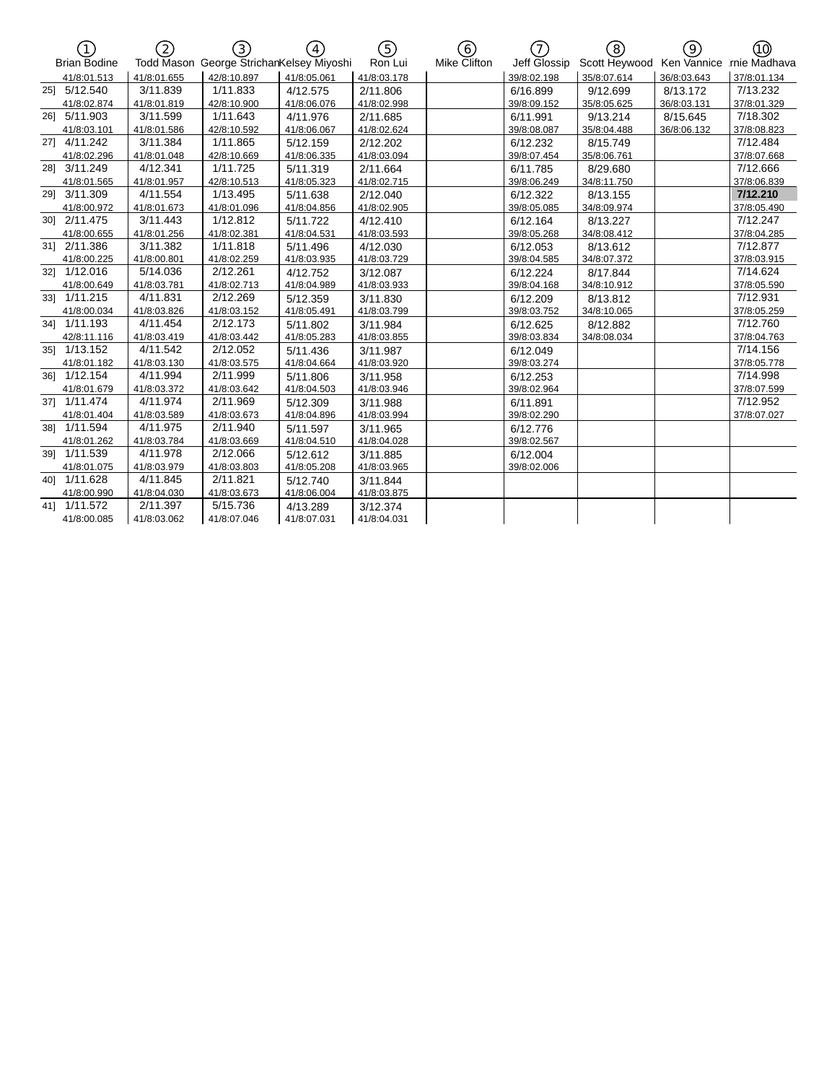| 门<br>1              | 2           | 3)                                       | $\left( \overline{4}\right)$ |             | 6)           | 7            | ි)            | ල)          | ൹            |
|---------------------|-------------|------------------------------------------|------------------------------|-------------|--------------|--------------|---------------|-------------|--------------|
| <b>Brian Bodine</b> |             | Todd Mason George StrichanKelsey Miyoshi |                              | Ron Lui     | Mike Clifton | Jeff Glossip | Scott Heywood | Ken Vannice | rnie Madhava |
| 41/8:01.513         | 41/8:01.655 | 42/8:10.897                              | 41/8:05.061                  | 41/8:03.178 |              | 39/8:02.198  | 35/8:07.614   | 36/8:03.643 | 37/8:01.134  |
| 25] 5/12.540        | 3/11.839    | 1/11.833                                 | 4/12.575                     | 2/11.806    |              | 6/16.899     | 9/12.699      | 8/13.172    | 7/13.232     |
| 41/8:02.874         | 41/8:01.819 | 42/8:10.900                              | 41/8:06.076                  | 41/8:02.998 |              | 39/8:09.152  | 35/8:05.625   | 36/8:03.131 | 37/8:01.329  |
| 26] 5/11.903        | 3/11.599    | 1/11.643                                 | 4/11.976                     | 2/11.685    |              | 6/11.991     | 9/13.214      | 8/15.645    | 7/18.302     |
| 41/8:03.101         | 41/8:01.586 | 42/8:10.592                              | 41/8:06.067                  | 41/8:02.624 |              | 39/8:08.087  | 35/8:04.488   | 36/8:06.132 | 37/8:08.823  |
| 27] 4/11.242        | 3/11.384    | 1/11.865                                 | 5/12.159                     | 2/12.202    |              | 6/12.232     | 8/15.749      |             | 7/12.484     |
| 41/8:02.296         | 41/8:01.048 | 42/8:10.669                              | 41/8:06.335                  | 41/8:03.094 |              | 39/8:07.454  | 35/8:06.761   |             | 37/8:07.668  |
| 28] 3/11.249        | 4/12.341    | 1/11.725                                 | 5/11.319                     | 2/11.664    |              | 6/11.785     | 8/29.680      |             | 7/12.666     |
| 41/8:01.565         | 41/8:01.957 | 42/8:10.513                              | 41/8:05.323                  | 41/8:02.715 |              | 39/8:06.249  | 34/8:11.750   |             | 37/8:06.839  |
| 29] 3/11.309        | 4/11.554    | 1/13.495                                 | 5/11.638                     | 2/12.040    |              | 6/12.322     | 8/13.155      |             | 7/12.210     |
| 41/8:00.972         | 41/8:01.673 | 41/8:01.096                              | 41/8:04.856                  | 41/8:02.905 |              | 39/8:05.085  | 34/8:09.974   |             | 37/8:05.490  |
| 301 2/11.475        | 3/11.443    | 1/12.812                                 | 5/11.722                     | 4/12.410    |              | 6/12.164     | 8/13.227      |             | 7/12.247     |
| 41/8:00.655         | 41/8:01.256 | 41/8:02.381                              | 41/8:04.531                  | 41/8:03.593 |              | 39/8:05.268  | 34/8:08.412   |             | 37/8:04.285  |
| 31] 2/11.386        | 3/11.382    | 1/11.818                                 | 5/11.496                     | 4/12.030    |              | 6/12.053     | 8/13.612      |             | 7/12.877     |
| 41/8:00.225         | 41/8:00.801 | 41/8:02.259                              | 41/8:03.935                  | 41/8:03.729 |              | 39/8:04.585  | 34/8:07.372   |             | 37/8:03.915  |
| 32] 1/12.016        | 5/14.036    | 2/12.261                                 | 4/12.752                     | 3/12.087    |              | 6/12.224     | 8/17.844      |             | 7/14.624     |
| 41/8:00.649         | 41/8:03.781 | 41/8:02.713                              | 41/8:04.989                  | 41/8:03.933 |              | 39/8:04.168  | 34/8:10.912   |             | 37/8:05.590  |
| 331 1/11.215        | 4/11.831    | 2/12.269                                 | 5/12.359                     | 3/11.830    |              | 6/12.209     | 8/13.812      |             | 7/12.931     |
| 41/8:00.034         | 41/8:03.826 | 41/8:03.152                              | 41/8:05.491                  | 41/8:03.799 |              | 39/8:03.752  | 34/8:10.065   |             | 37/8:05.259  |
| 34] 1/11.193        | 4/11.454    | 2/12.173                                 | 5/11.802                     | 3/11.984    |              | 6/12.625     | 8/12.882      |             | 7/12.760     |
| 42/8:11.116         | 41/8:03.419 | 41/8:03.442                              | 41/8:05.283                  | 41/8:03.855 |              | 39/8:03.834  | 34/8:08.034   |             | 37/8:04.763  |
| 35] 1/13.152        | 4/11.542    | 2/12.052                                 | 5/11.436                     | 3/11.987    |              | 6/12.049     |               |             | 7/14.156     |
| 41/8:01.182         | 41/8:03.130 | 41/8:03.575                              | 41/8:04.664                  | 41/8:03.920 |              | 39/8:03.274  |               |             | 37/8:05.778  |
| 36] 1/12.154        | 4/11.994    | 2/11.999                                 | 5/11.806                     | 3/11.958    |              | 6/12.253     |               |             | 7/14.998     |
| 41/8:01.679         | 41/8:03.372 | 41/8:03.642                              | 41/8:04.503                  | 41/8:03.946 |              | 39/8:02.964  |               |             | 37/8:07.599  |
| 37] 1/11.474        | 4/11.974    | 2/11.969                                 | 5/12.309                     | 3/11.988    |              | 6/11.891     |               |             | 7/12.952     |
| 41/8:01.404         | 41/8:03.589 | 41/8:03.673                              | 41/8:04.896                  | 41/8:03.994 |              | 39/8:02.290  |               |             | 37/8:07.027  |
| 381 1/11.594        | 4/11.975    | 2/11.940                                 | 5/11.597                     | 3/11.965    |              | 6/12.776     |               |             |              |
| 41/8:01.262         | 41/8:03.784 | 41/8:03.669                              | 41/8:04.510                  | 41/8:04.028 |              | 39/8:02.567  |               |             |              |
| 39] 1/11.539        | 4/11.978    | 2/12.066                                 | 5/12.612                     | 3/11.885    |              | 6/12.004     |               |             |              |
| 41/8:01.075         | 41/8:03.979 | 41/8:03.803                              | 41/8:05.208                  | 41/8:03.965 |              | 39/8:02.006  |               |             |              |
| 40] 1/11.628        | 4/11.845    | 2/11.821                                 | 5/12.740                     | 3/11.844    |              |              |               |             |              |
| 41/8:00.990         | 41/8:04.030 | 41/8:03.673                              | 41/8:06.004                  | 41/8:03.875 |              |              |               |             |              |
| 41] 1/11.572        | 2/11.397    | 5/15.736                                 | 4/13.289                     | 3/12.374    |              |              |               |             |              |
| 41/8:00.085         | 41/8:03.062 | 41/8:07.046                              | 41/8:07.031                  | 41/8:04.031 |              |              |               |             |              |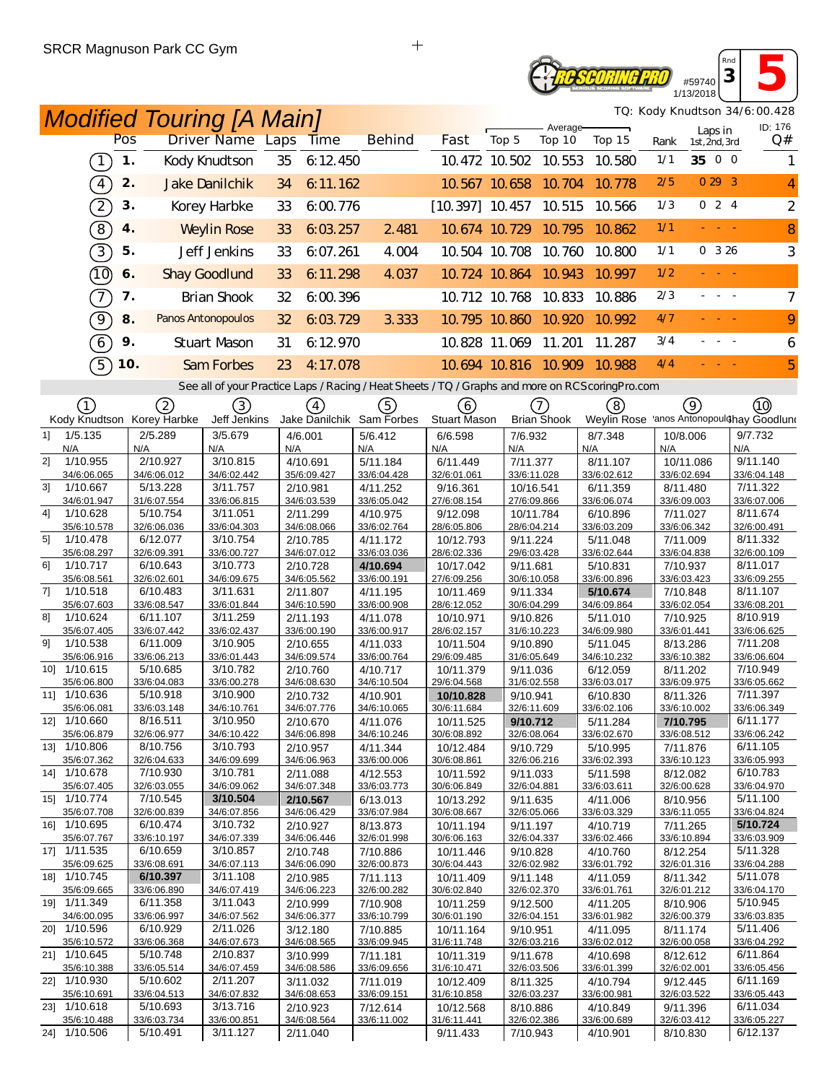#### **SCORING PRO** #59740 1/13/2018

*TQ: Kody Knudtson 34/6:00.428*

*Rnd* **<sup>3</sup> 5**

| <b>Modified Touring [A Main]</b>          |                         |                         |                                                                                                   |                         |                          |                          |                    |                             |                         |                          | TQ: Kody Knudtson 34/6:00.428             |
|-------------------------------------------|-------------------------|-------------------------|---------------------------------------------------------------------------------------------------|-------------------------|--------------------------|--------------------------|--------------------|-----------------------------|-------------------------|--------------------------|-------------------------------------------|
| Pos                                       |                         | Driver Name Laps        | <b>Time</b>                                                                                       | <b>Behind</b>           | Fast                     | Top 5                    | Average-<br>Top 10 | Top 15                      | Rank                    | Laps in<br>1st, 2nd, 3rd | ID: 176<br>Q#                             |
| $\left(1\right)$                          | 1.                      | Kody Knudtson           | 35<br>6:12.450                                                                                    |                         |                          | 10.472 10.502 10.553     |                    | 10.580                      | 1/1                     | 35 0 0                   |                                           |
| $\left(4\right)$                          | 2.                      | <b>Jake Danilchik</b>   | 6:11.162<br>34                                                                                    |                         |                          | 10.567 10.658 10.704     |                    | 10.778                      | 2/5                     | 0293                     | 4                                         |
|                                           |                         |                         |                                                                                                   |                         |                          |                          |                    |                             | 1/3                     | 024                      |                                           |
| $\widehat{2}$                             | 3.                      | Korey Harbke            | 33<br>6:00.776                                                                                    |                         | $[10.397]$ 10.457 10.515 |                          |                    | 10.566                      |                         |                          | $\overline{2}$                            |
| $\left\lceil 8 \right\rceil$              | 4.                      | <b>Weylin Rose</b>      | 33<br>6:03.257                                                                                    | 2 4 8 1                 |                          | 10.674 10.729 10.795     |                    | 10.862                      | 1/1                     | and a state              | 8                                         |
| $\boxed{3}$                               | 5.                      | Jeff Jenkins            | 33<br>6:07.261                                                                                    | 4.004                   |                          | 10.504 10.708 10.760     |                    | 10.800                      | 1/1                     | 0.326                    | 3                                         |
| (10)                                      | 6.                      | <b>Shay Goodlund</b>    | 33<br>6:11.298                                                                                    | 4.037                   |                          | 10.724 10.864 10.943     |                    | 10.997                      | 1/2                     |                          |                                           |
| $\overline{\tau}$                         | 7.                      | <b>Brian Shook</b>      | 32<br>6.00.396                                                                                    |                         |                          | 10.712 10.768 10.833     |                    | 10.886                      | 2/3                     | بالبابيات                | 7                                         |
| $\Theta$                                  | 8.                      | Panos Antonopoulos      | 6:03.729<br>32                                                                                    | 3.333                   |                          | 10.795 10.860            | 10.920             | 10.992                      | 4/7                     |                          | 9                                         |
| 6                                         | 9.                      | <b>Stuart Mason</b>     | 31<br>6:12.970                                                                                    |                         |                          | 10.828 11.069 11.201     |                    | 11.287                      | 3/4                     |                          | 6                                         |
| $\widehat{5}$                             | <b>10.</b>              | Sam Forbes              | 23<br>4:17.078                                                                                    |                         |                          |                          |                    | 10.694 10.816 10.909 10.988 | 4/4                     |                          | 5                                         |
|                                           |                         |                         | See all of your Practice Laps / Racing / Heat Sheets / TQ / Graphs and more on RCS coring Pro.com |                         |                          |                          |                    |                             |                         |                          |                                           |
| (1)                                       | 2                       | (3)                     |                                                                                                   | (5)                     | (6)                      |                          | (7)                | (8)                         | (9)                     |                          | (10)                                      |
| Kody Knudtson Korey Harbke                |                         | Jeff Jenkins            | (4)<br>Jake Danilchik Sam Forbes                                                                  |                         | Stuart Mason             |                          | <b>Brian Shook</b> |                             |                         |                          | Weylin Rose 'anos Antonopoulohay Goodluno |
| 1/5.135<br>11                             | 2/5.289                 | 3/5.679                 | 4/6.001                                                                                           | 5/6.412                 | 6/6.598                  | 7/6.932                  |                    | 8/7.348                     | 10/8.006                |                          | 9/7.732                                   |
| N/A<br>21<br>1/10.955                     | N/A<br>2/10.927         | N/A<br>3/10.815         | N/A<br>4/10.691                                                                                   | N/A<br>5/11.184         | N/A<br>6/11.449          | N/A<br>7/11.377          |                    | N/A<br>8/11.107             | N/A<br>10/11.086        |                          | N/A<br>9/11.140                           |
| 34/6:06.065                               | 34/6:06.012             | 34/6:02.442             | 35/6:09.427                                                                                       | 33/6:04.428             | 32/6:01.061              | 33/6:11.028              |                    | 33/6:02.612                 | 33/6:02.694             |                          | 33/6:04.148                               |
| 3 <sup>1</sup><br>1/10.667<br>34/6:01.947 | 5/13.228<br>31/6:07.554 | 3/11.757<br>33/6:06.815 | 2/10.981<br>34/6:03.539                                                                           | 4/11.252<br>33/6:05.042 | 9/16.361<br>27/6:08.154  | 10/16.541<br>27/6:09.866 |                    | 6/11.359<br>33/6:06.074     | 8/11.480<br>33/6:09.003 |                          | 7/11.322<br>33/6:07.006                   |
| 4]<br>1/10.628                            | 5/10.754                | 3/11.051                | 2/11.299                                                                                          | 4/10.975                | 9/12.098                 | 10/11.784                |                    | 6/10.896                    | 7/11.027                |                          | 8/11.674                                  |
| 35/6:10.578                               | 32/6:06.036             | 33/6:04.303             | 34/6:08.066                                                                                       | 33/6:02.764             | 28/6:05.806              | 28/6:04.214              |                    | 33/6:03.209                 | 33/6:06.342             |                          | 32/6:00.491                               |
| 5 <sup>1</sup><br>1/10.478<br>35/6:08.297 | 6/12.077<br>32/6:09.391 | 3/10.754<br>33/6:00.727 | 2/10.785<br>34/6:07.012                                                                           | 4/11.172<br>33/6:03.036 | 10/12.793<br>28/6:02.336 | 9/11.224<br>29/6:03.428  |                    | 5/11.048<br>33/6:02.644     | 7/11.009<br>33/6:04.838 |                          | 8/11.332<br>32/6:00.109                   |
| 61<br>1/10.717                            | 6/10.643                | 3/10.773                | 2/10.728                                                                                          | 4/10.694                | 10/17.042                | 9/11.681                 |                    | 5/10.831                    | 7/10.937                |                          | 8/11.017                                  |
| 35/6:08.561<br>71<br>1/10.518             | 32/6:02.601<br>6/10.483 | 34/6:09.675<br>3/11.631 | 34/6:05.562<br>2/11.807                                                                           | 33/6:00.191<br>4/11.195 | 27/6:09.256<br>10/11.469 | 30/6:10.058<br>9/11.334  |                    | 33/6:00.896<br>5/10.674     | 33/6:03.423<br>7/10.848 |                          | 33/6:09.255<br>8/11.107                   |
| 35/6:07.603                               | 33/6:08.547             | 33/6:01.844             | 34/6:10.590                                                                                       | 33/6:00.908             | 28/6:12.052              | 30/6:04.299              |                    | 34/6:09.864                 | 33/6:02.054             |                          | 33/6:08.201                               |
| 81<br>1/10.624                            | 6/11.107                | 3/11.259                | 2/11.193                                                                                          | 4/11.078                | 10/10.971                | 9/10.826                 |                    | 5/11.010                    | 7/10.925                |                          | 8/10.919                                  |
| 35/6:07.405<br>1/10.538<br>91             | 33/6:07.442<br>6/11.009 | 33/6:02.437<br>3/10.905 | 33/6:00.190<br>2/10.655                                                                           | 33/6:00.917<br>4/11.033 | 28/6:02.157<br>10/11.504 | 31/6:10.223<br>9/10.890  |                    | 34/6:09.980<br>5/11.045     | 33/6:01.441<br>8/13.286 |                          | 33/6:06.625<br>7/11.208                   |
| 35/6:06.916                               | 33/6:06.213             | 33/6:01.443             | 34/6:09.574                                                                                       | 33/6:00.764             | 29/6:09.485              | 31/6:05.649              |                    | 34/6:10.232                 | 33/6:10.382             |                          | 33/6:06.604                               |
| 10] 1/10.615                              | 5/10.685                | 3/10.782                | 2/10.760                                                                                          | 4/10.717                | 10/11.379                | 9/11.036                 |                    | 6/12.059                    | 8/11.202                |                          | 7/10.949                                  |
| 35/6:06.800<br>11] 1/10.636               | 33/6:04.083<br>5/10.918 | 33/6:00.278<br>3/10.900 | 34/6:08.630<br>2/10.732                                                                           | 34/6:10.504<br>4/10.901 | 29/6:04.568<br>10/10.828 | 31/6:02.558<br>9/10.941  |                    | 33/6:03.017<br>6/10.830     | 33/6:09.975<br>8/11.326 |                          | 33/6:05.662<br>7/11.397                   |
| 35/6:06.081                               | 33/6:03.148             | 34/6:10.761             | 34/6:07.776                                                                                       | 34/6:10.065             | 30/6:11.684              | 32/6:11.609              |                    | 33/6:02.106                 | 33/6:10.002             |                          | 33/6:06.349                               |
| 12] 1/10.660<br>35/6:06.879               | 8/16.511<br>32/6:06.977 | 3/10.950<br>34/6:10.422 | 2/10.670<br>34/6:06.898                                                                           | 4/11.076<br>34/6:10.246 | 10/11.525<br>30/6:08.892 | 9/10.712<br>32/6:08.064  |                    | 5/11.284<br>33/6:02.670     | 7/10.795<br>33/6:08.512 |                          | 6/11.177<br>33/6:06.242                   |
| 13] 1/10.806                              | 8/10.756                | 3/10.793                | 2/10.957                                                                                          | 4/11.344                | 10/12.484                | 9/10.729                 |                    | 5/10.995                    | 7/11.876                |                          | 6/11.105                                  |
| 35/6:07.362                               | 32/6:04.633             | 34/6:09.699             | 34/6:06.963                                                                                       | 33/6:00.006             | 30/6:08.861              | 32/6:06.216              |                    | 33/6:02.393                 | 33/6:10.123             |                          | 33/6:05.993                               |
| 14] 1/10.678<br>35/6:07.405               | 7/10.930<br>32/6:03.055 | 3/10.781<br>34/6:09.062 | 2/11.088<br>34/6:07.348                                                                           | 4/12.553<br>33/6:03.773 | 10/11.592<br>30/6:06.849 | 9/11.033<br>32/6:04.881  |                    | 5/11.598<br>33/6:03.611     | 8/12.082<br>32/6:00.628 |                          | 6/10.783<br>33/6:04.970                   |
| 15] 1/10.774                              | 7/10.545                | 3/10.504                | 2/10.567                                                                                          | 6/13.013                | 10/13.292                | 9/11.635                 |                    | 4/11.006                    | 8/10.956                |                          | 5/11.100                                  |
| 35/6:07.708<br>16] 1/10.695               | 32/6:00.839<br>6/10.474 | 34/6:07.856<br>3/10.732 | 34/6:06.429<br>2/10.927                                                                           | 33/6:07.984<br>8/13.873 | 30/6:08.667<br>10/11.194 | 32/6:05.066<br>9/11.197  |                    | 33/6:03.329<br>4/10.719     | 33/6:11.055<br>7/11.265 |                          | 33/6:04.824<br>5/10.724                   |
| 35/6:07.767                               | 33/6:10.197             | 34/6:07.339             | 34/6:06.446                                                                                       | 32/6:01.998             | 30/6:06.163              | 32/6:04.337              |                    | 33/6:02.466                 | 33/6:10.894             |                          | 33/6:03.909                               |
| 17] 1/11.535                              | 6/10.659                | 3/10.857                | 2/10.748                                                                                          | 7/10.886                | 10/11.446                | 9/10.828                 |                    | 4/10.760                    | 8/12.254                |                          | 5/11.328                                  |
| 35/6:09.625<br>18] 1/10.745               | 33/6:08.691<br>6/10.397 | 34/6:07.113<br>3/11.108 | 34/6:06.090<br>2/10.985                                                                           | 32/6:00.873<br>7/11.113 | 30/6:04.443<br>10/11.409 | 32/6:02.982<br>9/11.148  |                    | 33/6:01.792<br>4/11.059     | 32/6:01.316<br>8/11.342 |                          | 33/6:04.288<br>5/11.078                   |
| 35/6:09.665                               | 33/6:06.890             | 34/6:07.419             | 34/6:06.223                                                                                       | 32/6:00.282             | 30/6:02.840              | 32/6:02.370              |                    | 33/6:01.761                 | 32/6:01.212             |                          | 33/6:04.170                               |
| 19] 1/11.349                              | 6/11.358                | 3/11.043                | 2/10.999                                                                                          | 7/10.908                | 10/11.259                | 9/12.500                 |                    | 4/11.205                    | 8/10.906                |                          | 5/10.945                                  |
| 34/6:00.095<br>20] 1/10.596               | 33/6:06.997<br>6/10.929 | 34/6:07.562<br>2/11.026 | 34/6:06.377<br>3/12.180                                                                           | 33/6:10.799<br>7/10.885 | 30/6:01.190<br>10/11.164 | 32/6:04.151<br>9/10.951  |                    | 33/6:01.982<br>4/11.095     | 32/6:00.379<br>8/11.174 |                          | 33/6:03.835<br>5/11.406                   |
| 35/6:10.572                               | 33/6:06.368             | 34/6:07.673             | 34/6:08.565                                                                                       | 33/6:09.945             | 31/6:11.748              | 32/6:03.216              |                    | 33/6:02.012                 | 32/6:00.058             |                          | 33/6:04.292                               |
| 21] 1/10.645<br>35/6:10.388               | 5/10.748<br>33/6:05.514 | 2/10.837<br>34/6:07.459 | 3/10.999<br>34/6:08.586                                                                           | 7/11.181<br>33/6:09.656 | 10/11.319<br>31/6:10.471 | 9/11.678<br>32/6:03.506  |                    | 4/10.698<br>33/6:01.399     | 8/12.612<br>32/6:02.001 |                          | 6/11.864<br>33/6:05.456                   |
| 22] 1/10.930                              | 5/10.602                | 2/11.207                | 3/11.032                                                                                          | 7/11.019                | 10/12.409                | 8/11.325                 |                    | 4/10.794                    | 9/12.445                |                          | 6/11.169                                  |
| 35/6:10.691                               | 33/6:04.513             | 34/6:07.832             | 34/6:08.653                                                                                       | 33/6:09.151             | 31/6:10.858              | 32/6:03.237              |                    | 33/6:00.981                 | 32/6:03.522             |                          | 33/6:05.443                               |
| 23] 1/10.618<br>35/6:10.488               | 5/10.693<br>33/6:03.734 | 3/13.716<br>33/6:00.851 | 2/10.923<br>34/6:08.564                                                                           | 7/12.614<br>33/6:11.002 | 10/12.568<br>31/6:11.441 | 8/10.886<br>32/6:02.386  |                    | 4/10.849<br>33/6:00.689     | 9/11.396<br>32/6:03.412 |                          | 6/11.034<br>33/6:05.227                   |
| 24] 1/10.506                              | 5/10.491                | 3/11.127                | 2/11.040                                                                                          |                         | 9/11.433                 | 7/10.943                 |                    | 4/10.901                    | 8/10.830                |                          | 6/12.137                                  |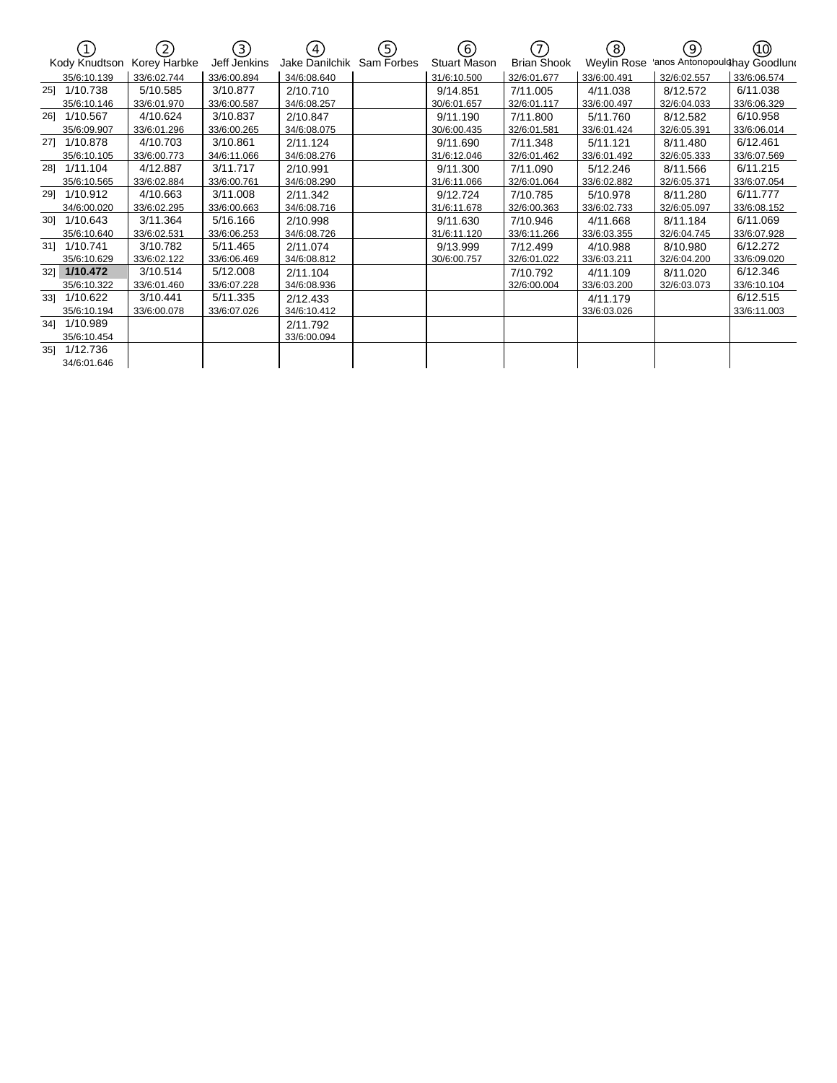|     |               | (2)          | (3)          | $\left(4\right)$ | 5)         | (6)                 | (7)                | (8)         | (9)                           | (10)        |
|-----|---------------|--------------|--------------|------------------|------------|---------------------|--------------------|-------------|-------------------------------|-------------|
|     | Kody Knudtson | Korey Harbke | Jeff Jenkins | Jake Danilchik   | Sam Forbes | <b>Stuart Mason</b> | <b>Brian Shook</b> | Weylin Rose | 'anos Antonopoulohay Goodluno |             |
|     | 35/6:10.139   | 33/6:02.744  | 33/6:00.894  | 34/6:08.640      |            | 31/6:10.500         | 32/6:01.677        | 33/6:00.491 | 32/6:02.557                   | 33/6:06.574 |
| 251 | 1/10.738      | 5/10.585     | 3/10.877     | 2/10.710         |            | 9/14.851            | 7/11.005           | 4/11.038    | 8/12.572                      | 6/11.038    |
|     | 35/6:10.146   | 33/6:01.970  | 33/6:00.587  | 34/6:08.257      |            | 30/6:01.657         | 32/6:01.117        | 33/6:00.497 | 32/6:04.033                   | 33/6:06.329 |
|     | 26] 1/10.567  | 4/10.624     | 3/10.837     | 2/10.847         |            | 9/11.190            | 7/11.800           | 5/11.760    | 8/12.582                      | 6/10.958    |
|     | 35/6:09.907   | 33/6:01.296  | 33/6:00.265  | 34/6:08.075      |            | 30/6:00.435         | 32/6:01.581        | 33/6:01.424 | 32/6:05.391                   | 33/6:06.014 |
|     | 27] 1/10.878  | 4/10.703     | 3/10.861     | 2/11.124         |            | 9/11.690            | 7/11.348           | 5/11.121    | 8/11.480                      | 6/12.461    |
|     | 35/6:10.105   | 33/6:00.773  | 34/6:11.066  | 34/6:08.276      |            | 31/6:12.046         | 32/6:01.462        | 33/6:01.492 | 32/6:05.333                   | 33/6:07.569 |
|     | 28] 1/11.104  | 4/12.887     | 3/11.717     | 2/10.991         |            | 9/11.300            | 7/11.090           | 5/12.246    | 8/11.566                      | 6/11.215    |
|     | 35/6:10.565   | 33/6:02.884  | 33/6:00.761  | 34/6:08.290      |            | 31/6:11.066         | 32/6:01.064        | 33/6:02.882 | 32/6:05.371                   | 33/6:07.054 |
|     | 29] 1/10.912  | 4/10.663     | 3/11.008     | 2/11.342         |            | 9/12.724            | 7/10.785           | 5/10.978    | 8/11.280                      | 6/11.777    |
|     | 34/6:00.020   | 33/6:02.295  | 33/6:00.663  | 34/6:08.716      |            | 31/6:11.678         | 32/6:00.363        | 33/6:02.733 | 32/6:05.097                   | 33/6:08.152 |
|     | 30] 1/10.643  | 3/11.364     | 5/16.166     | 2/10.998         |            | 9/11.630            | 7/10.946           | 4/11.668    | 8/11.184                      | 6/11.069    |
|     | 35/6:10.640   | 33/6:02.531  | 33/6:06.253  | 34/6:08.726      |            | 31/6:11.120         | 33/6:11.266        | 33/6:03.355 | 32/6:04.745                   | 33/6:07.928 |
|     | 31] 1/10.741  | 3/10.782     | 5/11.465     | 2/11.074         |            | 9/13.999            | 7/12.499           | 4/10.988    | 8/10.980                      | 6/12.272    |
|     | 35/6:10.629   | 33/6:02.122  | 33/6:06.469  | 34/6:08.812      |            | 30/6:00.757         | 32/6:01.022        | 33/6:03.211 | 32/6:04.200                   | 33/6:09.020 |
|     | 32] 1/10.472  | 3/10.514     | 5/12.008     | 2/11.104         |            |                     | 7/10.792           | 4/11.109    | 8/11.020                      | 6/12.346    |
|     | 35/6:10.322   | 33/6:01.460  | 33/6:07.228  | 34/6:08.936      |            |                     | 32/6:00.004        | 33/6:03.200 | 32/6:03.073                   | 33/6:10.104 |
| 33] | 1/10.622      | 3/10.441     | 5/11.335     | 2/12.433         |            |                     |                    | 4/11.179    |                               | 6/12.515    |
|     | 35/6:10.194   | 33/6:00.078  | 33/6:07.026  | 34/6:10.412      |            |                     |                    | 33/6:03.026 |                               | 33/6:11.003 |
|     | 341 1/10.989  |              |              | 2/11.792         |            |                     |                    |             |                               |             |
|     | 35/6:10.454   |              |              | 33/6:00.094      |            |                     |                    |             |                               |             |
| 35] | 1/12.736      |              |              |                  |            |                     |                    |             |                               |             |
|     | 34/6:01.646   |              |              |                  |            |                     |                    |             |                               |             |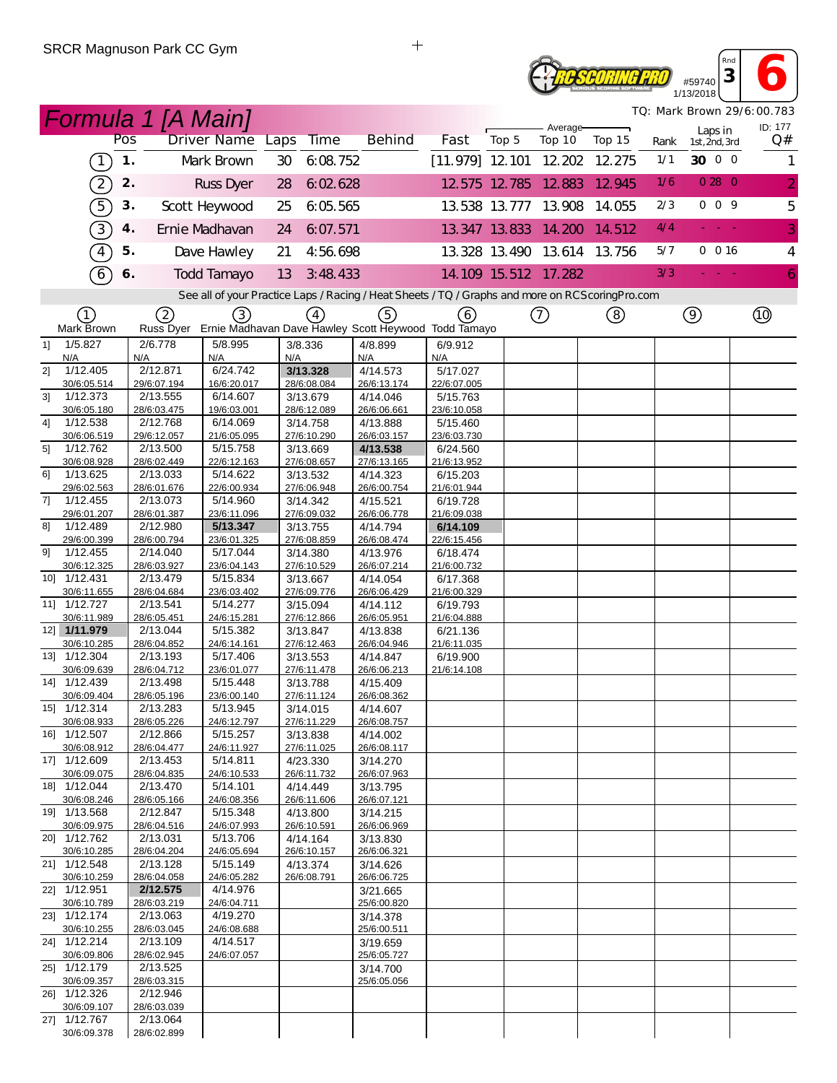# **Reseoring PRO** #59740

**<sup>3</sup> 6** 1/13/2018 *TQ: Mark Brown 29/6:00.783*

*Rnd*

|    |                             |     | <b>Formula 1 [A Main]</b> |                                                                                                   |         |                         |                         |                          |       |               |                    |                             |             |                         | TQ: Mark Brown 29/6:00.783 |
|----|-----------------------------|-----|---------------------------|---------------------------------------------------------------------------------------------------|---------|-------------------------|-------------------------|--------------------------|-------|---------------|--------------------|-----------------------------|-------------|-------------------------|----------------------------|
|    |                             | Pos |                           | Driver Name Laps                                                                                  |         | <b>Time</b>             | <b>Behind</b>           | Fast                     | Top 5 |               | Average-<br>Top 10 | Top 15                      |             | Laps in                 | ID: 177<br>Q#              |
|    |                             | 1.  |                           |                                                                                                   |         |                         |                         |                          |       |               |                    |                             | Rank<br>1/1 | 1st, 2nd, 3rd<br>30 0 0 |                            |
|    | $\lceil$                    |     |                           | Mark Brown                                                                                        | 30      | 6:08.752                |                         | $[11.979]$ 12 101 12 202 |       |               |                    | 12.275                      |             |                         | 1                          |
|    | $\boxed{2}$                 | 2.  |                           | Russ Dyer                                                                                         | 28      | 6:02.628                |                         | 12 575 12 785 12 883     |       |               |                    | 12.945                      | 1/6         | 0280                    | $\overline{2}$             |
|    | 5)                          | 3.  |                           | Scott Heywood                                                                                     | 25      | 6:05.565                |                         | 13.538 13.777 13.908     |       |               |                    | 14.055                      | 2/3         | 009                     | 5                          |
|    | 3)                          | 4.  |                           | Ernie Madhavan                                                                                    | 24      | 6:07.571                |                         | 13.347 13.833 14.200     |       |               |                    | 14.512                      | 4/4         | mar.                    | 3                          |
|    | $\widehat{4}$               | 5.  |                           | Dave Hawley                                                                                       | 21      | 4:56.698                |                         |                          |       |               |                    | 13.328 13.490 13.614 13.756 | 5/7         | 0 016                   | $\overline{4}$             |
|    |                             |     |                           |                                                                                                   |         |                         |                         |                          |       |               |                    |                             | 3/3         |                         |                            |
|    | $\widehat{6}$               | 6.  |                           | <b>Todd Tamayo</b>                                                                                | 13      | 3:48.433                |                         | 14.109 15.512 17.282     |       |               |                    |                             |             |                         | 6                          |
|    |                             |     |                           | See all of your Practice Laps / Racing / Heat Sheets / TQ / Graphs and more on RCS coring Pro.com |         |                         |                         |                          |       |               |                    |                             |             |                         |                            |
|    | ①<br>Mark Brown             |     | 2                         | ③<br>Russ Dyer Ernie Madhavan Dave Hawley Scott Heywood Todd Tamayo                               |         | (4)                     | ⑤                       | (6)                      |       | $^\copyright$ |                    | (8)                         |             | $\circledcirc$          | $^{\circledR}$             |
| 1] | 1/5.827                     |     | 2/6.778                   | 5/8.995                                                                                           | 3/8.336 |                         | 4/8.899                 | 6/9.912                  |       |               |                    |                             |             |                         |                            |
|    | N/A                         |     | N/A                       | N/A                                                                                               | N/A     |                         | N/A                     | N/A                      |       |               |                    |                             |             |                         |                            |
| 2] | 1/12.405<br>30/6:05.514     |     | 2/12.871<br>29/6:07.194   | 6/24.742<br>16/6:20.017                                                                           |         | 3/13.328<br>28/6:08.084 | 4/14.573<br>26/6:13.174 | 5/17.027<br>22/6:07.005  |       |               |                    |                             |             |                         |                            |
| 3] | 1/12.373                    |     | $\overline{2}/13.555$     | 6/14.607                                                                                          |         | 3/13.679                | 4/14.046                | 5/15.763                 |       |               |                    |                             |             |                         |                            |
|    | 30/6:05.180                 |     | 28/6:03.475               | 19/6:03.001                                                                                       |         | 28/6:12.089             | 26/6:06.661             | 23/6:10.058              |       |               |                    |                             |             |                         |                            |
| 41 | 1/12.538<br>30/6:06.519     |     | 2/12.768<br>29/6:12.057   | 6/14.069<br>21/6:05.095                                                                           |         | 3/14.758<br>27/6:10.290 | 4/13.888<br>26/6:03.157 | 5/15.460<br>23/6:03.730  |       |               |                    |                             |             |                         |                            |
| 5] | 1/12.762                    |     | 2/13.500                  | 5/15.758                                                                                          |         | 3/13.669                | 4/13.538                | 6/24.560                 |       |               |                    |                             |             |                         |                            |
|    | 30/6:08.928                 |     | 28/6:02.449               | 22/6:12.163                                                                                       |         | 27/6:08.657             | 27/6:13.165             | 21/6:13.952              |       |               |                    |                             |             |                         |                            |
| 61 | 1/13.625                    |     | 2/13.033                  | 5/14.622                                                                                          |         | 3/13.532                | 4/14.323                | 6/15.203                 |       |               |                    |                             |             |                         |                            |
| 71 | 29/6:02.563<br>1/12.455     |     | 28/6:01.676<br>2/13.073   | 22/6:00.934<br>5/14.960                                                                           |         | 27/6:06.948<br>3/14.342 | 26/6:00.754<br>4/15.521 | 21/6:01.944<br>6/19.728  |       |               |                    |                             |             |                         |                            |
|    | 29/6:01.207                 |     | 28/6:01.387               | 23/6:11.096                                                                                       |         | 27/6:09.032             | 26/6:06.778             | 21/6:09.038              |       |               |                    |                             |             |                         |                            |
| 8] | 1/12.489                    |     | 2/12.980                  | 5/13.347                                                                                          |         | 3/13.755                | 4/14.794                | 6/14.109                 |       |               |                    |                             |             |                         |                            |
| 91 | 29/6:00.399<br>1/12.455     |     | 28/6:00.794<br>2/14.040   | 23/6:01.325<br>5/17.044                                                                           |         | 27/6:08.859<br>3/14.380 | 26/6:08.474<br>4/13.976 | 22/6:15.456<br>6/18.474  |       |               |                    |                             |             |                         |                            |
|    | 30/6:12.325                 |     | 28/6:03.927               | 23/6:04.143                                                                                       |         | 27/6:10.529             | 26/6:07.214             | 21/6:00.732              |       |               |                    |                             |             |                         |                            |
|    | 10] 1/12.431                |     | 2/13.479                  | 5/15.834                                                                                          |         | 3/13.667                | 4/14.054                | 6/17.368                 |       |               |                    |                             |             |                         |                            |
|    | 30/6:11.655<br>11] 1/12.727 |     | 28/6:04.684<br>2/13.541   | 23/6:03.402<br>5/14.277                                                                           |         | 27/6:09.776<br>3/15.094 | 26/6:06.429<br>4/14.112 | 21/6:00.329<br>6/19.793  |       |               |                    |                             |             |                         |                            |
|    | 30/6:11.989                 |     | 28/6:05.451               | 24/6:15.281                                                                                       |         | 27/6:12.866             | 26/6:05.951             | 21/6:04.888              |       |               |                    |                             |             |                         |                            |
|    | 12] 1/11.979                |     | 2/13.044                  | 5/15.382                                                                                          |         | 3/13.847                | 4/13.838                | 6/21.136                 |       |               |                    |                             |             |                         |                            |
|    | 30/6:10.285<br>13] 1/12.304 |     | 28/6:04.852<br>2/13.193   | 24/6:14.161<br>5/17.406                                                                           |         | 27/6:12.463             | 26/6:04.946             | 21/6:11.035<br>6/19.900  |       |               |                    |                             |             |                         |                            |
|    | 30/6:09.639                 |     | 28/6:04.712               | 23/6:01.077                                                                                       |         | 3/13.553<br>27/6:11.478 | 4/14.847<br>26/6:06.213 | 21/6:14.108              |       |               |                    |                             |             |                         |                            |
|    | 14] 1/12.439                |     | 2/13.498                  | 5/15.448                                                                                          |         | 3/13.788                | 4/15.409                |                          |       |               |                    |                             |             |                         |                            |
|    | 30/6:09.404                 |     | 28/6:05.196               | 23/6:00.140                                                                                       |         | 27/6:11.124             | 26/6:08.362             |                          |       |               |                    |                             |             |                         |                            |
|    | 15] 1/12.314<br>30/6:08.933 |     | 2/13.283<br>28/6:05.226   | 5/13.945<br>24/6:12.797                                                                           |         | 3/14.015<br>27/6:11.229 | 4/14.607<br>26/6:08.757 |                          |       |               |                    |                             |             |                         |                            |
|    | 16] 1/12.507                |     | 2/12.866                  | 5/15.257                                                                                          |         | 3/13.838                | 4/14.002                |                          |       |               |                    |                             |             |                         |                            |
|    | 30/6:08.912                 |     | 28/6:04.477               | 24/6:11.927                                                                                       |         | 27/6:11.025             | 26/6:08.117             |                          |       |               |                    |                             |             |                         |                            |
|    | 17] 1/12.609<br>30/6:09.075 |     | 2/13.453<br>28/6:04.835   | 5/14.811<br>24/6:10.533                                                                           |         | 4/23.330<br>26/6:11.732 | 3/14.270<br>26/6:07.963 |                          |       |               |                    |                             |             |                         |                            |
|    | 18] 1/12.044                |     | 2/13.470                  | 5/14.101                                                                                          |         | 4/14.449                | 3/13.795                |                          |       |               |                    |                             |             |                         |                            |
|    | 30/6:08.246                 |     | 28/6:05.166               | 24/6:08.356                                                                                       |         | 26/6:11.606             | 26/6:07.121             |                          |       |               |                    |                             |             |                         |                            |
|    | 19] 1/13.568<br>30/6:09.975 |     | 2/12.847<br>28/6:04.516   | 5/15.348<br>24/6:07.993                                                                           |         | 4/13.800<br>26/6:10.591 | 3/14.215<br>26/6:06.969 |                          |       |               |                    |                             |             |                         |                            |
|    | 20] 1/12.762                |     | 2/13.031                  | 5/13.706                                                                                          |         | 4/14.164                | 3/13.830                |                          |       |               |                    |                             |             |                         |                            |
|    | 30/6:10.285                 |     | 28/6:04.204               | 24/6:05.694                                                                                       |         | 26/6:10.157             | 26/6:06.321             |                          |       |               |                    |                             |             |                         |                            |
|    | 21] 1/12.548<br>30/6:10.259 |     | 2/13.128<br>28/6:04.058   | 5/15.149<br>24/6:05.282                                                                           |         | 4/13.374<br>26/6:08.791 | 3/14.626<br>26/6:06.725 |                          |       |               |                    |                             |             |                         |                            |
|    | 22] 1/12.951                |     | 2/12.575                  | 4/14.976                                                                                          |         |                         | 3/21.665                |                          |       |               |                    |                             |             |                         |                            |
|    | 30/6:10.789                 |     | 28/6:03.219               | 24/6:04.711                                                                                       |         |                         | 25/6:00.820             |                          |       |               |                    |                             |             |                         |                            |
|    | 23] 1/12.174<br>30/6:10.255 |     | 2/13.063<br>28/6:03.045   | 4/19.270<br>24/6:08.688                                                                           |         |                         | 3/14.378<br>25/6:00.511 |                          |       |               |                    |                             |             |                         |                            |
|    | 24] 1/12.214                |     | 2/13.109                  | 4/14.517                                                                                          |         |                         | 3/19.659                |                          |       |               |                    |                             |             |                         |                            |
|    | 30/6:09.806                 |     | 28/6:02.945               | 24/6:07.057                                                                                       |         |                         | 25/6:05.727             |                          |       |               |                    |                             |             |                         |                            |
|    | 25] 1/12.179<br>30/6:09.357 |     | 2/13.525<br>28/6:03.315   |                                                                                                   |         |                         | 3/14.700<br>25/6:05.056 |                          |       |               |                    |                             |             |                         |                            |
|    | 26] 1/12.326                |     | 2/12.946                  |                                                                                                   |         |                         |                         |                          |       |               |                    |                             |             |                         |                            |
|    | 30/6:09.107                 |     | 28/6:03.039               |                                                                                                   |         |                         |                         |                          |       |               |                    |                             |             |                         |                            |
|    | 27] 1/12.767<br>30/6:09.378 |     | 2/13.064<br>28/6:02.899   |                                                                                                   |         |                         |                         |                          |       |               |                    |                             |             |                         |                            |
|    |                             |     |                           |                                                                                                   |         |                         |                         |                          |       |               |                    |                             |             |                         |                            |

 $\qquad \qquad +$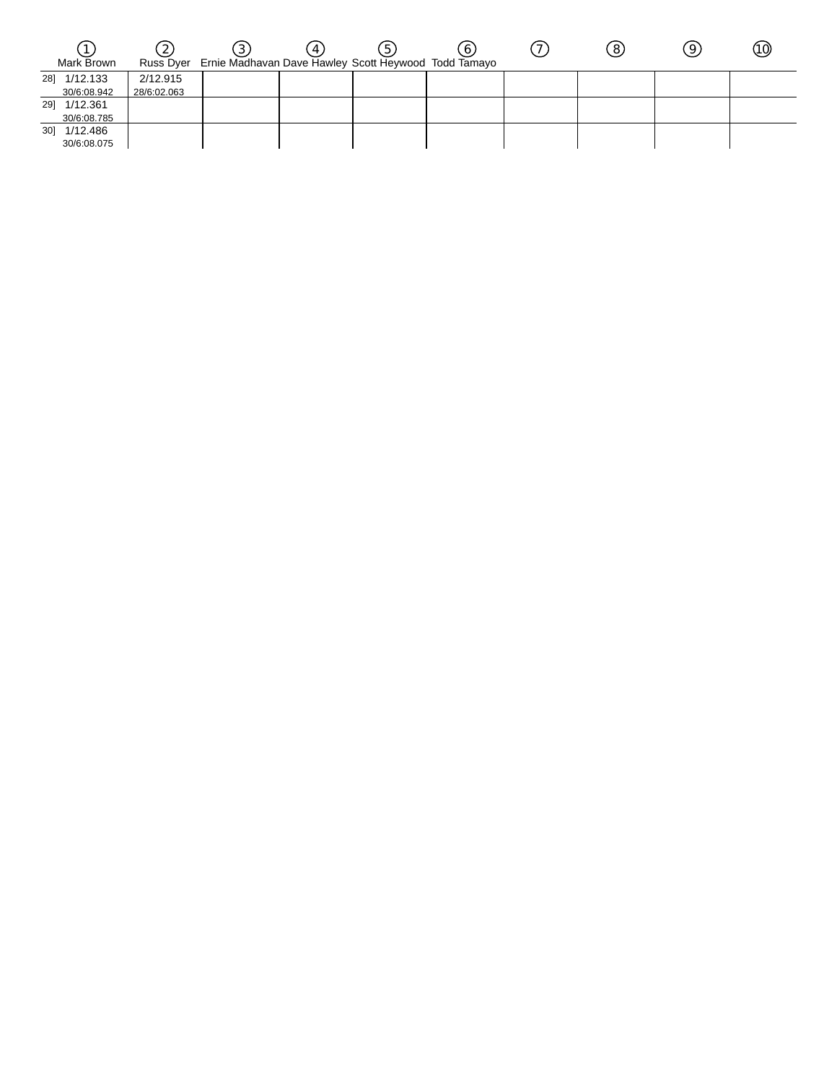| Mark Brown   |             |                                                                | 4 | b. | O | $\left[8\right]$ | 9. | (10) |  |
|--------------|-------------|----------------------------------------------------------------|---|----|---|------------------|----|------|--|
|              |             | Russ Dyer Ernie Madhavan Dave Hawley Scott Heywood Todd Tamayo |   |    |   |                  |    |      |  |
| 28] 1/12.133 | 2/12.915    |                                                                |   |    |   |                  |    |      |  |
| 30/6:08.942  | 28/6:02.063 |                                                                |   |    |   |                  |    |      |  |
| 29] 1/12.361 |             |                                                                |   |    |   |                  |    |      |  |
| 30/6:08.785  |             |                                                                |   |    |   |                  |    |      |  |
| 30] 1/12.486 |             |                                                                |   |    |   |                  |    |      |  |
| 30/6:08.075  |             |                                                                |   |    |   |                  |    |      |  |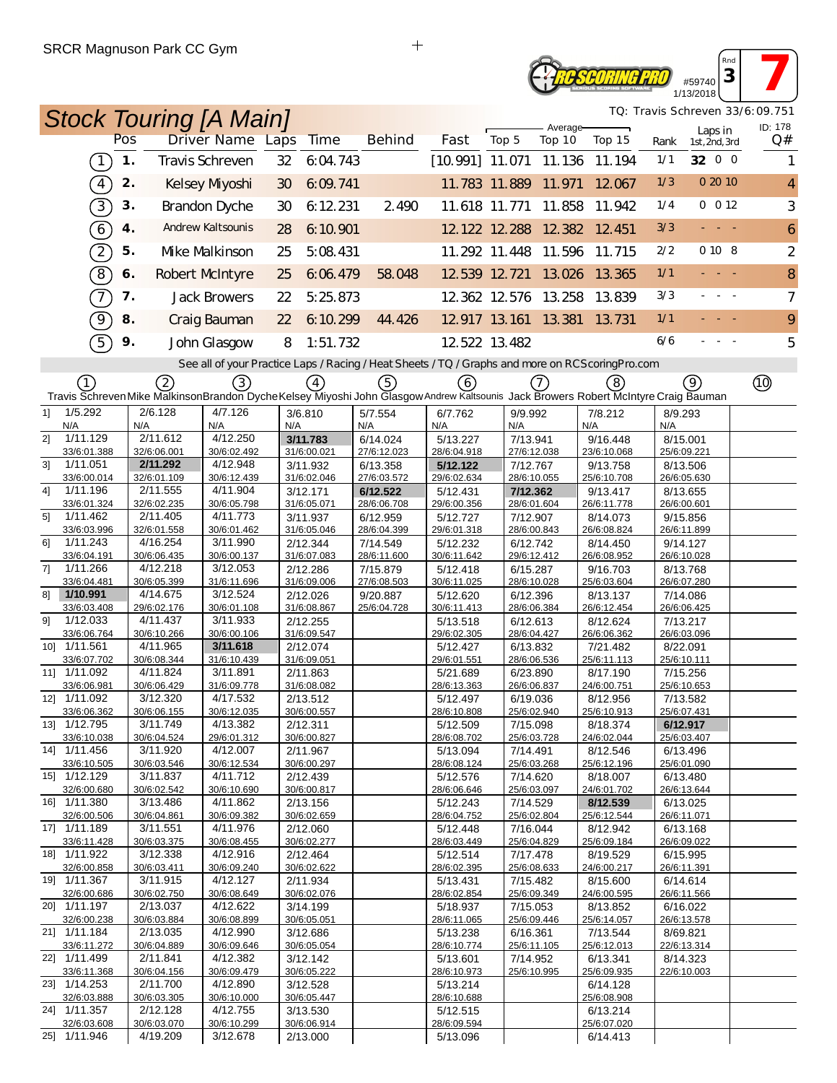## **TE SCORING PRO** #59740 1/13/2018

*Rnd* **3 7** 

| <b>Stock Touring [A Main]</b>                                                                                                      |     |                         |                                                                                                   |     |                         |     |                         |                               |       |                         |                    |                             |                         |                          | TQ: Travis Schreven 33/6:09.751 |
|------------------------------------------------------------------------------------------------------------------------------------|-----|-------------------------|---------------------------------------------------------------------------------------------------|-----|-------------------------|-----|-------------------------|-------------------------------|-------|-------------------------|--------------------|-----------------------------|-------------------------|--------------------------|---------------------------------|
|                                                                                                                                    | Pos |                         | <b>Driver Name Laps</b>                                                                           |     | <b>Time</b>             |     | <b>Behind</b>           | Fast                          | Top 5 |                         | Average-<br>Top 10 | Top 15                      | Rank                    | Laps in<br>1st, 2nd, 3rd | ID: 178<br>Q#                   |
| $\boxed{1}$                                                                                                                        | 1.  |                         | Travis Schreven                                                                                   | 32  | 6:04.743                |     |                         | [10.991] 11.071 11.136 11.194 |       |                         |                    |                             | 1/1                     | 32 0 0                   | 1                               |
| $\sqrt{4}$                                                                                                                         | 2.  |                         | Kelsey Myoshi                                                                                     | 30  | 6:09.741                |     |                         | 11.783 11.889 11.971          |       |                         |                    | 12.067                      | 1/3                     | 0 20 10                  | $\overline{4}$                  |
| $\boxed{3}$                                                                                                                        | 3.  |                         | <b>Brandon Dyche</b>                                                                              | 30  | 6:12.231                |     | 2.490                   | 11.618 11.771                 |       |                         | 11.858             | 11.942                      | 1/4                     | 0 012                    | 3                               |
| $6\overline{6}$                                                                                                                    | 4.  |                         | <b>Andrew Kaltsounis</b>                                                                          | 28  | 6:10.901                |     |                         |                               |       |                         |                    | 12.122 12.288 12.382 12.451 | 3/3                     |                          | 6                               |
| $\boxed{2}$                                                                                                                        | 5.  |                         | Mke Malkinson                                                                                     | 25  | 5:08.431                |     |                         | 11.292 11.448 11.596          |       |                         |                    | 11.715                      | 2/2                     | 0 10 8                   | $\overline{2}$                  |
| $\boxed{8}$                                                                                                                        | 6.  |                         | Robert McIntyre                                                                                   | 25  | 6:06.479                |     | 58.048                  | 12 539 12 721                 |       |                         | 13.026             | 13.365                      | 1/1                     | بالباب                   | 8                               |
| $\mathcal{T}$                                                                                                                      | 7.  |                         | <b>Jack Browers</b>                                                                               | 22  | 5:25.873                |     |                         | 12.362 12.576 13.258          |       |                         |                    | 13.839                      | 3/3                     |                          | $\overline{7}$                  |
| ୕ଡ଼                                                                                                                                | 8.  |                         | Craig Bauman                                                                                      | 22  | 6:10.299                |     | 44.426                  | 12.917 13.161 13.381          |       |                         |                    | 13.731                      | 1/1                     |                          | 9                               |
| 5                                                                                                                                  | 9.  |                         | John Glasgow                                                                                      | 8   | 1:51.732                |     |                         | 12 522 13 482                 |       |                         |                    |                             | 6/6                     |                          | 5                               |
|                                                                                                                                    |     |                         | See all of your Practice Laps / Racing / Heat Sheets / TQ / Graphs and more on RCS coring Pro.com |     |                         |     |                         |                               |       |                         |                    |                             |                         |                          |                                 |
| (1)                                                                                                                                |     | 2                       | ③                                                                                                 |     | $\left(4\right)$        |     | 5                       | 6                             |       | (7)                     |                    | (8)                         |                         | (ඉ)                      | ⑩                               |
| Travis Schreven Mike MalkinsonBrandon DycheKelsey Miyoshi John Glasgow Andrew Kaltsounis Jack Browers Robert McIntyre Craig Bauman |     |                         |                                                                                                   |     |                         |     |                         |                               |       |                         |                    |                             |                         |                          |                                 |
| 1/5.292<br>11                                                                                                                      |     | 2/6.128                 | 4/7.126                                                                                           |     | 3/6.810                 |     | 5/7.554                 | 6/7.762                       |       | 9/9.992                 |                    | 7/8.212                     | 8/9.293                 |                          |                                 |
| N/A<br>2]<br>1/11.129                                                                                                              | N/A | 2/11.612                | N/A<br>4/12.250                                                                                   | N/A | 3/11.783                | N/A | 6/14.024                | N/A<br>5/13.227               | N/A   | 7/13.941                |                    | N/A<br>9/16.448             | N/A<br>8/15.001         |                          |                                 |
| 33/6:01.388                                                                                                                        |     | 32/6:06.001             | 30/6:02.492                                                                                       |     | 31/6:00.021             |     | 27/6:12.023             | 28/6:04.918                   |       | 27/6:12.038             |                    | 23/6:10.068                 | 25/6:09.221             |                          |                                 |
| 3 <sup>1</sup><br>1/11.051                                                                                                         |     | 2/11.292                | 4/12.948                                                                                          |     | 3/11.932                |     | 6/13.358                | 5/12.122                      |       | 7/12.767                |                    | 9/13.758                    | 8/13.506                |                          |                                 |
| 33/6:00.014<br>4]<br>1/11.196                                                                                                      |     | 32/6:01.109<br>2/11.555 | 30/6:12.439<br>4/11.904                                                                           |     | 31/6:02.046             |     | 27/6:03.572             | 29/6:02.634                   |       | 28/6:10.055             |                    | 25/6:10.708                 | 26/6:05.630             |                          |                                 |
| 33/6:01.324                                                                                                                        |     | 32/6:02.235             | 30/6:05.798                                                                                       |     | 3/12.171<br>31/6:05.071 |     | 6/12.522<br>28/6:06.708 | 5/12.431<br>29/6:00.356       |       | 7/12.362<br>28/6:01.604 |                    | 9/13.417<br>26/6:11.778     | 8/13.655<br>26/6:00.601 |                          |                                 |
| 5]<br>1/11.462                                                                                                                     |     | 2/11.405                | 4/11.773                                                                                          |     | 3/11.937                |     | 6/12.959                | 5/12.727                      |       | 7/12.907                |                    | 8/14.073                    | 9/15.856                |                          |                                 |
| 33/6:03.996                                                                                                                        |     | 32/6:01.558             | 30/6:01.462                                                                                       |     | 31/6:05.046             |     | 28/6:04.399             | 29/6:01.318                   |       | 28/6:00.843             |                    | 26/6:08.824                 | 26/6:11.899             |                          |                                 |
| 1/11.243<br>61<br>33/6:04.191                                                                                                      |     | 4/16.254<br>30/6:06.435 | 3/11.990<br>30/6:00.137                                                                           |     | 2/12.344<br>31/6:07.083 |     | 7/14.549<br>28/6:11.600 | 5/12.232                      |       | 6/12.742<br>29/6:12.412 |                    | 8/14.450<br>26/6:08.952     | 9/14.127                |                          |                                 |
| 71<br>1/11.266                                                                                                                     |     | 4/12.218                | 3/12.053                                                                                          |     | 2/12.286                |     | 7/15.879                | 30/6:11.642<br>5/12.418       |       | 6/15.287                |                    | 9/16.703                    | 26/6:10.028<br>8/13.768 |                          |                                 |
| 33/6:04.481                                                                                                                        |     | 30/6:05.399             | 31/6:11.696                                                                                       |     | 31/6:09.006             |     | 27/6:08.503             | 30/6:11.025                   |       | 28/6:10.028             |                    | 25/6:03.604                 | 26/6:07.280             |                          |                                 |
| 81<br>1/10.991                                                                                                                     |     | 4/14.675                | 3/12.524                                                                                          |     | 2/12.026                |     | 9/20.887                | 5/12.620                      |       | 6/12.396                |                    | 8/13.137                    | 7/14.086                |                          |                                 |
| 33/6:03.408                                                                                                                        |     | 29/6:02.176             | 30/6:01.108                                                                                       |     | 31/6:08.867             |     | 25/6:04.728             | 30/6:11.413                   |       | 28/6:06.384             |                    | 26/6:12.454                 | 26/6:06.425             |                          |                                 |
| 1/12.033<br>91<br>33/6:06.764                                                                                                      |     | 4/11.437<br>30/6:10.266 | 3/11.933<br>30/6:00.106                                                                           |     | 2/12.255<br>31/6:09.547 |     |                         | 5/13.518<br>29/6:02.305       |       | 6/12.613<br>28/6:04.427 |                    | 8/12.624<br>26/6:06.362     | 7/13.217<br>26/6:03.096 |                          |                                 |
| 10] 1/11.561                                                                                                                       |     | 4/11.965                | 3/11.618                                                                                          |     | 2/12.074                |     |                         | 5/12.427                      |       | 6/13.832                |                    | 7/21.482                    | 8/22.091                |                          |                                 |
| 33/6:07.702                                                                                                                        |     | 30/6:08.344             | 31/6:10.439                                                                                       |     | 31/6:09.051             |     |                         | 29/6:01.551                   |       | 28/6:06.536             |                    | 25/6:11.113                 | 25/6:10.111             |                          |                                 |
| 11] 1/11.092                                                                                                                       |     | 4/11.824                | 3/11.891                                                                                          |     | 2/11.863                |     |                         | 5/21.689                      |       | 6/23.890                |                    | 8/17.190                    | 7/15.256                |                          |                                 |
| 33/6:06.981<br>12] 1/11.092                                                                                                        |     | 30/6:06.429<br>3/12.320 | 31/6:09.778<br>4/17.532                                                                           |     | 31/6:08.082<br>2/13.512 |     |                         | 28/6:13.363<br>5/12.497       |       | 26/6:06.837<br>6/19.036 |                    | 24/6:00.751<br>8/12.956     | 25/6:10.653<br>7/13.582 |                          |                                 |
| 33/6:06.362                                                                                                                        |     | 30/6:06.155             | 30/6:12.035                                                                                       |     | 30/6:00.557             |     |                         | 28/6:10.808                   |       | 25/6:02.940             |                    | 25/6:10.913                 | 25/6:07.431             |                          |                                 |
| 13] 1/12.795                                                                                                                       |     | 3/11.749                | 4/13.382                                                                                          |     | 2/12.311                |     |                         | 5/12.509                      |       | 7/15.098                |                    | 8/18.374                    | 6/12.917                |                          |                                 |
| 33/6:10.038                                                                                                                        |     | 30/6:04.524             | 29/6:01.312                                                                                       |     | 30/6:00.827             |     |                         | 28/6:08.702                   |       | 25/6:03.728             |                    | 24/6:02.044                 | 25/6:03.407             |                          |                                 |
| 14] 1/11.456<br>33/6:10.505                                                                                                        |     | 3/11.920<br>30/6:03.546 | 4/12.007<br>30/6:12.534                                                                           |     | 2/11.967<br>30/6:00.297 |     |                         | 5/13.094<br>28/6:08.124       |       | 7/14.491<br>25/6:03.268 |                    | 8/12.546<br>25/6:12.196     | 6/13.496<br>25/6:01.090 |                          |                                 |
| 15] 1/12.129                                                                                                                       |     | 3/11.837                | 4/11.712                                                                                          |     | 2/12.439                |     |                         | 5/12.576                      |       | 7/14.620                |                    | 8/18.007                    | 6/13.480                |                          |                                 |
| 32/6:00.680                                                                                                                        |     | 30/6:02.542             | 30/6:10.690                                                                                       |     | 30/6:00.817             |     |                         | 28/6:06.646                   |       | 25/6:03.097             |                    | 24/6:01.702                 | 26/6:13.644             |                          |                                 |
| 16] 1/11.380                                                                                                                       |     | 3/13.486                | 4/11.862                                                                                          |     | 2/13.156                |     |                         | 5/12.243                      |       | 7/14.529                |                    | 8/12.539                    | 6/13.025                |                          |                                 |
| 32/6:00.506<br>17] 1/11.189                                                                                                        |     | 30/6:04.861<br>3/11.551 | 30/6:09.382<br>4/11.976                                                                           |     | 30/6:02.659<br>2/12.060 |     |                         | 28/6:04.752                   |       | 25/6:02.804             |                    | 25/6:12.544                 | 26/6:11.071             |                          |                                 |
| 33/6:11.428                                                                                                                        |     | 30/6:03.375             | 30/6:08.455                                                                                       |     | 30/6:02.277             |     |                         | 5/12.448<br>28/6:03.449       |       | 7/16.044<br>25/6:04.829 |                    | 8/12.942<br>25/6:09.184     | 6/13.168<br>26/6:09.022 |                          |                                 |
| 18  1/11.922                                                                                                                       |     | 3/12.338                | 4/12.916                                                                                          |     | 2/12.464                |     |                         | 5/12.514                      |       | 7/17.478                |                    | 8/19.529                    | 6/15.995                |                          |                                 |
| 32/6:00.858                                                                                                                        |     | 30/6:03.411             | 30/6:09.240                                                                                       |     | 30/6:02.622             |     |                         | 28/6:02.395                   |       | 25/6:08.633             |                    | 24/6:00.217                 | 26/6:11.391             |                          |                                 |
| 19] 1/11.367                                                                                                                       |     | 3/11.915                | 4/12.127                                                                                          |     | 2/11.934                |     |                         | 5/13.431                      |       | 7/15.482                |                    | 8/15.600                    | 6/14.614                |                          |                                 |
| 32/6:00.686<br>20] 1/11.197                                                                                                        |     | 30/6:02.750<br>2/13.037 | 30/6:08.649<br>4/12.622                                                                           |     | 30/6:02.076<br>3/14.199 |     |                         | 28/6:02.854<br>5/18.937       |       | 25/6:09.349<br>7/15.053 |                    | 24/6:00.595<br>8/13.852     | 26/6:11.566<br>6/16.022 |                          |                                 |
| 32/6:00.238                                                                                                                        |     | 30/6:03.884             | 30/6:08.899                                                                                       |     | 30/6:05.051             |     |                         | 28/6:11.065                   |       | 25/6:09.446             |                    | 25/6:14.057                 | 26/6:13.578             |                          |                                 |
| 21] 1/11.184                                                                                                                       |     | 2/13.035                | 4/12.990                                                                                          |     | 3/12.686                |     |                         | 5/13.238                      |       | 6/16.361                |                    | 7/13.544                    | 8/69.821                |                          |                                 |
| 33/6:11.272<br>22] 1/11.499                                                                                                        |     | 30/6:04.889<br>2/11.841 | 30/6:09.646<br>4/12.382                                                                           |     | 30/6:05.054<br>3/12.142 |     |                         | 28/6:10.774<br>5/13.601       |       | 25/6:11.105<br>7/14.952 |                    | 25/6:12.013<br>6/13.341     | 22/6:13.314<br>8/14.323 |                          |                                 |
| 33/6:11.368                                                                                                                        |     | 30/6:04.156             | 30/6:09.479                                                                                       |     | 30/6:05.222             |     |                         | 28/6:10.973                   |       | 25/6:10.995             |                    | 25/6:09.935                 | 22/6:10.003             |                          |                                 |
| 23] 1/14.253                                                                                                                       |     | 2/11.700                | 4/12.890                                                                                          |     | 3/12.528                |     |                         | 5/13.214                      |       |                         |                    | 6/14.128                    |                         |                          |                                 |
| 32/6:03.888<br>24] 1/11.357                                                                                                        |     | 30/6:03.305<br>2/12.128 | 30/6:10.000<br>4/12.755                                                                           |     | 30/6:05.447<br>3/13.530 |     |                         | 28/6:10.688<br>5/12.515       |       |                         |                    | 25/6:08.908<br>6/13.214     |                         |                          |                                 |
| 32/6:03.608                                                                                                                        |     | 30/6:03.070             | 30/6:10.299                                                                                       |     | 30/6:06.914             |     |                         | 28/6:09.594                   |       |                         |                    | 25/6:07.020                 |                         |                          |                                 |
| 25] 1/11.946                                                                                                                       |     | 4/19.209                | 3/12.678                                                                                          |     | 2/13.000                |     |                         | 5/13.096                      |       |                         |                    | 6/14.413                    |                         |                          |                                 |

 $\ddot{+}$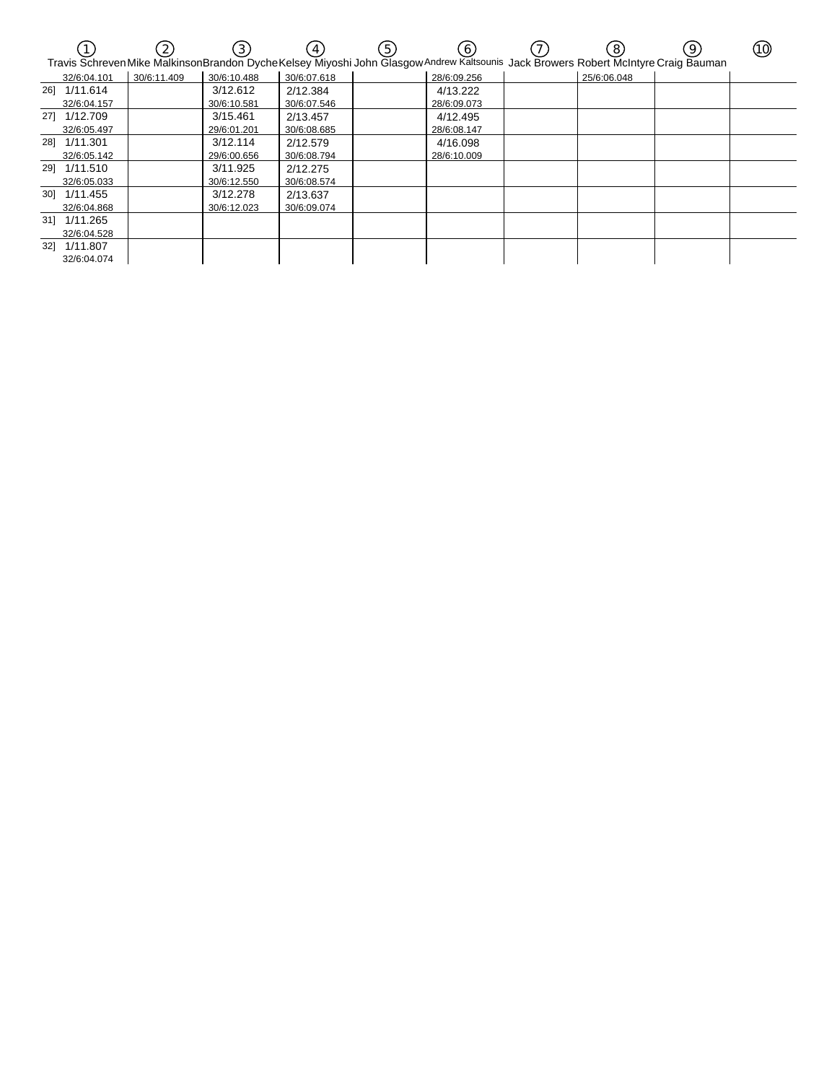|     |              |             | 3)          |             | (5) | (6)         | 8           | 9<br>Travis Schreven Mike MalkinsonBrandon DycheKelsey Miyoshi John Glasgow Andrew Kaltsounis Jack Browers Robert McIntyre Craig Bauman | (10) |
|-----|--------------|-------------|-------------|-------------|-----|-------------|-------------|-----------------------------------------------------------------------------------------------------------------------------------------|------|
|     | 32/6:04.101  | 30/6:11.409 | 30/6:10.488 | 30/6:07.618 |     | 28/6:09.256 | 25/6:06.048 |                                                                                                                                         |      |
|     | 26] 1/11.614 |             | 3/12.612    | 2/12.384    |     | 4/13.222    |             |                                                                                                                                         |      |
|     | 32/6:04.157  |             | 30/6:10.581 | 30/6:07.546 |     | 28/6:09.073 |             |                                                                                                                                         |      |
|     | 27] 1/12.709 |             | 3/15.461    | 2/13.457    |     | 4/12.495    |             |                                                                                                                                         |      |
|     | 32/6:05.497  |             | 29/6:01.201 | 30/6:08.685 |     | 28/6:08.147 |             |                                                                                                                                         |      |
|     | 281 1/11.301 |             | 3/12.114    | 2/12.579    |     | 4/16.098    |             |                                                                                                                                         |      |
|     | 32/6:05.142  |             | 29/6:00.656 | 30/6:08.794 |     | 28/6:10.009 |             |                                                                                                                                         |      |
|     | 29] 1/11.510 |             | 3/11.925    | 2/12.275    |     |             |             |                                                                                                                                         |      |
|     | 32/6:05.033  |             | 30/6:12.550 | 30/6:08.574 |     |             |             |                                                                                                                                         |      |
|     | 30] 1/11.455 |             | 3/12.278    | 2/13.637    |     |             |             |                                                                                                                                         |      |
|     | 32/6:04.868  |             | 30/6:12.023 | 30/6:09.074 |     |             |             |                                                                                                                                         |      |
|     | 31] 1/11.265 |             |             |             |     |             |             |                                                                                                                                         |      |
|     | 32/6:04.528  |             |             |             |     |             |             |                                                                                                                                         |      |
| 321 | 1/11.807     |             |             |             |     |             |             |                                                                                                                                         |      |
|     | 32/6:04.074  |             |             |             |     |             |             |                                                                                                                                         |      |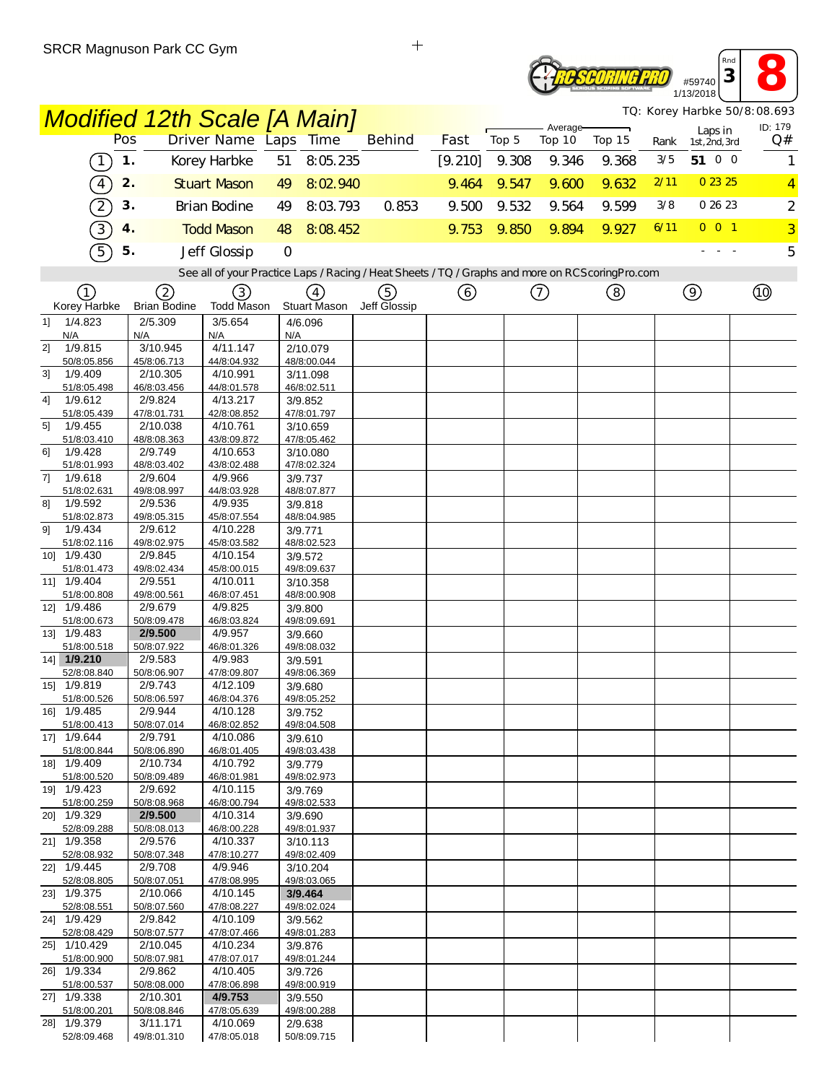# #59740<br>#59740<br>13/2018 *PSCORING PRO* 1/13/2018

*Rnd*

|                                                                                                   |                                   |     |                          | <b>Modified 12th Scale [A Main]</b> |     |                               |                   |         |       |                    |        |      |                          | TQ: Korey Harbke 50/8:08.693 |
|---------------------------------------------------------------------------------------------------|-----------------------------------|-----|--------------------------|-------------------------------------|-----|-------------------------------|-------------------|---------|-------|--------------------|--------|------|--------------------------|------------------------------|
|                                                                                                   |                                   | Pos |                          | <b>Driver Name Laps</b>             |     | <b>Time</b>                   | <b>Behind</b>     | Fast    | Top 5 | Average-<br>Top 10 | Top 15 | Rank | Laps in<br>1st, 2nd, 3rd | ID: 179<br>Q#                |
|                                                                                                   | $\begin{bmatrix} 1 \end{bmatrix}$ | 1.  |                          | Korey Harbke                        | 51  | 8:05.235                      |                   | [9.210] | 9.308 | 9.346              | 9.368  | 3/5  | 51 0 0                   | 1                            |
|                                                                                                   | $\boxed{4}$                       | 2.  |                          | <b>Stuart Mason</b>                 | 49  | 8:02.940                      |                   | 9.464   | 9.547 | 9.600              | 9.632  | 2/11 | 0 23 25                  | $\overline{4}$               |
|                                                                                                   | $\widehat{\mathcal{Z}}$           | 3.  |                          | <b>Brian Bodine</b>                 | 49  | 8:03.793                      | 0.853             | 9.500   | 9.532 | 9.564              | 9.599  | 3/8  | 0 26 23                  | $\overline{c}$               |
|                                                                                                   | $\overline{3}$                    | 4.  |                          | <b>Todd Mason</b>                   | 48  | 8:08.452                      |                   | 9.753   | 9.850 | 9.894              | 9.927  | 6/11 | $0$ 0 1                  | $\overline{3}$               |
|                                                                                                   |                                   |     |                          |                                     |     |                               |                   |         |       |                    |        |      |                          |                              |
| $\widehat{5}$<br>5.<br>Jeff Glossip<br>$\mathbf 0$                                                |                                   |     |                          |                                     |     |                               |                   |         |       |                    | 5      |      |                          |                              |
| See all of your Practice Laps / Racing / Heat Sheets / TQ / Graphs and more on RCS coring Pro.com |                                   |     |                          |                                     |     |                               |                   |         |       |                    |        |      |                          |                              |
| (1)<br>Korey Harbke                                                                               |                                   |     | 2<br><b>Brian Bodine</b> | 3)<br>Todd Mason                    |     | $\circled{4}$<br>Stuart Mason | 5<br>Jeff Glossip | ⊙       |       | ⑦                  | (8)    |      | $\circledcirc$           | $^{\circledR}$               |
| 1/4.823<br>1]                                                                                     |                                   |     | 2/5.309                  | 3/5.654                             |     | 4/6.096                       |                   |         |       |                    |        |      |                          |                              |
| N/A                                                                                               |                                   | N/A |                          | N/A                                 | N/A |                               |                   |         |       |                    |        |      |                          |                              |
| 2]<br>1/9.815<br>50/8:05.856                                                                      |                                   |     | 3/10.945<br>45/8:06.713  | 4/11.147<br>44/8:04.932             |     | 2/10.079<br>48/8:00.044       |                   |         |       |                    |        |      |                          |                              |
| 1/9.409<br>3 <sup>1</sup>                                                                         |                                   |     | 2/10.305                 | 4/10.991                            |     | 3/11.098                      |                   |         |       |                    |        |      |                          |                              |
| 51/8:05.498<br>1/9.612<br>4]                                                                      |                                   |     | 46/8:03.456<br>2/9.824   | 44/8:01.578<br>4/13.217             |     | 46/8:02.511<br>3/9.852        |                   |         |       |                    |        |      |                          |                              |
| 51/8:05.439                                                                                       |                                   |     | 47/8:01.731              | 42/8:08.852                         |     | 47/8:01.797                   |                   |         |       |                    |        |      |                          |                              |
| 5]<br>1/9.455<br>51/8:03.410                                                                      |                                   |     | 2/10.038<br>48/8:08.363  | 4/10.761<br>43/8:09.872             |     | 3/10.659<br>47/8:05.462       |                   |         |       |                    |        |      |                          |                              |
| 1/9.428<br>6]                                                                                     |                                   |     | 2/9.749                  | 4/10.653                            |     | 3/10.080                      |                   |         |       |                    |        |      |                          |                              |
| 51/8:01.993<br>1/9.618<br>7]                                                                      |                                   |     | 48/8:03.402<br>2/9.604   | 43/8:02.488<br>4/9.966              |     | 47/8:02.324<br>3/9.737        |                   |         |       |                    |        |      |                          |                              |
| 51/8:02.631                                                                                       |                                   |     | 49/8:08.997              | 44/8:03.928                         |     | 48/8:07.877                   |                   |         |       |                    |        |      |                          |                              |
| 1/9.592<br>81                                                                                     |                                   |     | 2/9.536                  | 4/9.935                             |     | 3/9.818                       |                   |         |       |                    |        |      |                          |                              |
| 51/8:02.873<br>1/9.434<br>91                                                                      |                                   |     | 49/8:05.315<br>2/9.612   | 45/8:07.554<br>4/10.228             |     | 48/8:04.985<br>3/9.771        |                   |         |       |                    |        |      |                          |                              |
| 51/8:02.116                                                                                       |                                   |     | 49/8:02.975              | 45/8:03.582                         |     | 48/8:02.523                   |                   |         |       |                    |        |      |                          |                              |
| 10] 1/9.430<br>51/8:01.473                                                                        |                                   |     | 2/9.845<br>49/8:02.434   | 4/10.154<br>45/8:00.015             |     | 3/9.572<br>49/8:09.637        |                   |         |       |                    |        |      |                          |                              |
| 11] 1/9.404                                                                                       |                                   |     | 2/9.551                  | 4/10.011                            |     | 3/10.358                      |                   |         |       |                    |        |      |                          |                              |
| 51/8:00.808<br>12] 1/9.486                                                                        |                                   |     | 49/8:00.561<br>2/9.679   | 46/8:07.451<br>4/9.825              |     | 48/8:00.908<br>3/9.800        |                   |         |       |                    |        |      |                          |                              |
| 51/8:00.673                                                                                       |                                   |     | 50/8:09.478              | 46/8:03.824                         |     | 49/8:09.691                   |                   |         |       |                    |        |      |                          |                              |
| 13] 1/9.483<br>51/8:00.518                                                                        |                                   |     | 2/9.500<br>50/8:07.922   | 4/9.957<br>46/8:01.326              |     | 3/9.660<br>49/8:08.032        |                   |         |       |                    |        |      |                          |                              |
| 14] 1/9.210                                                                                       |                                   |     | 2/9.583                  | 4/9.983                             |     | 3/9.591                       |                   |         |       |                    |        |      |                          |                              |
| 52/8:08.840                                                                                       |                                   |     | 50/8:06.907              | 47/8:09.807                         |     | 49/8:06.369                   |                   |         |       |                    |        |      |                          |                              |
| 15] 1/9.819<br>51/8:00.526                                                                        |                                   |     | 2/9.743<br>50/8:06.597   | 4/12.109<br>46/8:04.376             |     | 3/9.680<br>49/8:05.252        |                   |         |       |                    |        |      |                          |                              |
| 16] 1/9.485                                                                                       |                                   |     | 2/9.944                  | 4/10.128                            |     | 3/9.752                       |                   |         |       |                    |        |      |                          |                              |
| 51/8:00.413<br>17] 1/9.644                                                                        |                                   |     | 50/8:07.014<br>2/9.791   | 46/8:02.852<br>4/10.086             |     | 49/8:04.508<br>3/9.610        |                   |         |       |                    |        |      |                          |                              |
| 51/8:00.844                                                                                       |                                   |     | 50/8:06.890              | 46/8:01.405                         |     | 49/8:03.438                   |                   |         |       |                    |        |      |                          |                              |
| 18] 1/9.409<br>51/8:00.520                                                                        |                                   |     | 2/10.734<br>50/8:09.489  | 4/10.792<br>46/8:01.981             |     | 3/9.779<br>49/8:02.973        |                   |         |       |                    |        |      |                          |                              |
| 19] 1/9.423                                                                                       |                                   |     | 2/9.692                  | 4/10.115                            |     | 3/9.769                       |                   |         |       |                    |        |      |                          |                              |
| 51/8:00.259<br>20] 1/9.329                                                                        |                                   |     | 50/8:08.968<br>2/9.500   | 46/8:00.794<br>4/10.314             |     | 49/8:02.533<br>3/9.690        |                   |         |       |                    |        |      |                          |                              |
| 52/8:09.288                                                                                       |                                   |     | 50/8:08.013              | 46/8:00.228                         |     | 49/8:01.937                   |                   |         |       |                    |        |      |                          |                              |
| 211 1/9.358<br>52/8:08.932                                                                        |                                   |     | 2/9.576                  | 4/10.337                            |     | 3/10.113                      |                   |         |       |                    |        |      |                          |                              |
| 22] 1/9.445                                                                                       |                                   |     | 50/8:07.348<br>2/9.708   | 47/8:10.277<br>4/9.946              |     | 49/8:02.409<br>3/10.204       |                   |         |       |                    |        |      |                          |                              |
| 52/8:08.805                                                                                       |                                   |     | 50/8:07.051              | 47/8:08.995                         |     | 49/8:03.065                   |                   |         |       |                    |        |      |                          |                              |
| 23] 1/9.375<br>52/8:08.551                                                                        |                                   |     | 2/10.066<br>50/8:07.560  | 4/10.145<br>47/8:08.227             |     | 3/9.464<br>49/8:02.024        |                   |         |       |                    |        |      |                          |                              |
| 24] 1/9.429                                                                                       |                                   |     | 2/9.842                  | 4/10.109                            |     | 3/9.562                       |                   |         |       |                    |        |      |                          |                              |
| 52/8:08.429<br>25] 1/10.429                                                                       |                                   |     | 50/8:07.577<br>2/10.045  | 47/8:07.466<br>4/10.234             |     | 49/8:01.283<br>3/9.876        |                   |         |       |                    |        |      |                          |                              |
| 51/8:00.900                                                                                       |                                   |     | 50/8:07.981              | 47/8:07.017                         |     | 49/8:01.244                   |                   |         |       |                    |        |      |                          |                              |
| 26] 1/9.334<br>51/8:00.537                                                                        |                                   |     | 2/9.862<br>50/8:08.000   | 4/10.405<br>47/8:06.898             |     | 3/9.726<br>49/8:00.919        |                   |         |       |                    |        |      |                          |                              |
| 27] 1/9.338                                                                                       |                                   |     | 2/10.301                 | 4/9.753                             |     | 3/9.550                       |                   |         |       |                    |        |      |                          |                              |
| 51/8:00.201<br>28] 1/9.379                                                                        |                                   |     | 50/8:08.846<br>3/11.171  | 47/8:05.639<br>4/10.069             |     | 49/8:00.288<br>2/9.638        |                   |         |       |                    |        |      |                          |                              |
| 52/8:09.468                                                                                       |                                   |     | 49/8:01.310              | 47/8:05.018                         |     | 50/8:09.715                   |                   |         |       |                    |        |      |                          |                              |